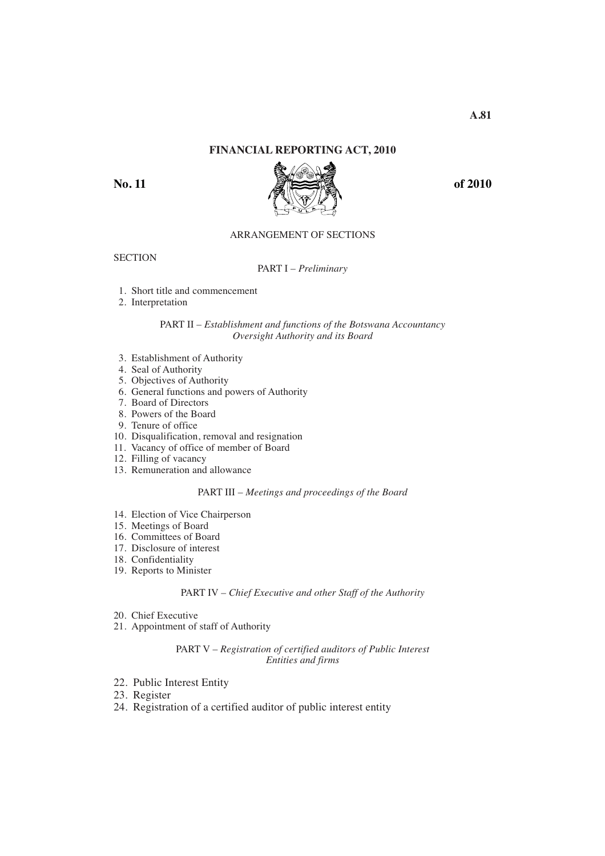# **FINANCIAL REPORTING ACT, 2010**



# ARRANGEMENT OF SECTIONS

**SECTION** 

#### PART I – *Preliminary*

1. Short title and commencement

2. Interpretation

#### PART II – *Establishment and functions of the Botswana Accountancy Oversight Authority and its Board*

- 3. Establishment of Authority
- 4. Seal of Authority
- 5. Objectives of Authority
- 6. General functions and powers of Authority
- 7. Board of Directors
- 8. Powers of the Board
- 9. Tenure of office
- 10. Disqualification, removal and resignation
- 11. Vacancy of office of member of Board
- 12. Filling of vacancy
- 13. Remuneration and allowance

## PART III – *Meetings and proceedings of the Board*

- 14. Election of Vice Chairperson
- 15. Meetings of Board
- 16. Committees of Board
- 17. Disclosure of interest
- 18. Confidentiality
- 19. Reports to Minister

PART IV *– Chief Executive and other Staff of the Authority*

- 20. Chief Executive
- 21. Appointment of staff of Authority

PART V – *Registration of certified auditors of Public Interest Entities and firms*

- 22. Public Interest Entity
- 23. Register
- 24. Registration of a certified auditor of public interest entity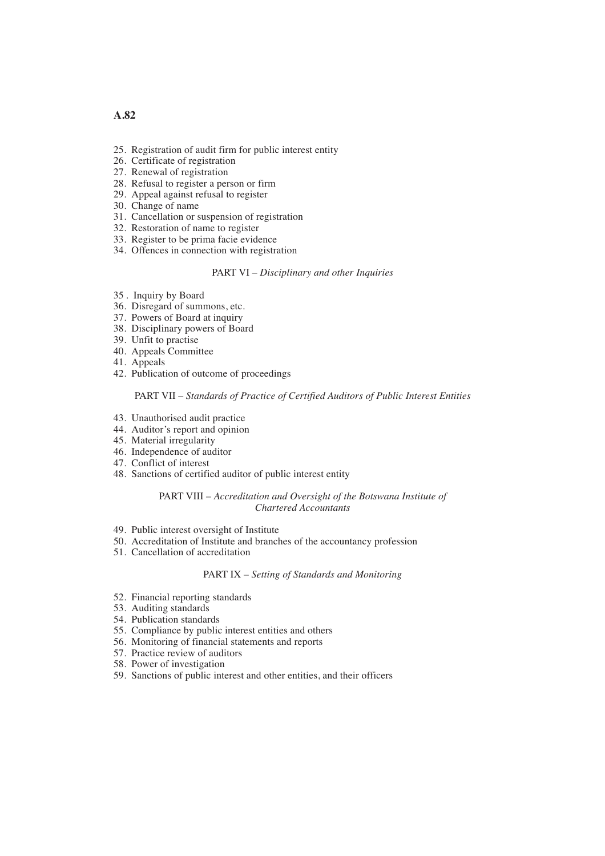# **A.82**

- 25. Registration of audit firm for public interest entity
- 26. Certificate of registration
- 27. Renewal of registration
- 28. Refusal to register a person or firm
- 29. Appeal against refusal to register
- 30. Change of name
- 31. Cancellation or suspension of registration
- 32. Restoration of name to register
- 33. Register to be prima facie evidence
- 34. Offences in connection with registration

# PART VI – *Disciplinary and other Inquiries*

- 35 . Inquiry by Board
- 36. Disregard of summons, etc.
- 37. Powers of Board at inquiry
- 38. Disciplinary powers of Board
- 39. Unfit to practise
- 40. Appeals Committee
- 41. Appeals
- 42. Publication of outcome of proceedings

#### PART VII – *Standards of Practice of Certified Auditors of Public Interest Entities*

- 43. Unauthorised audit practice
- 44. Auditor's report and opinion
- 45. Material irregularity
- 46. Independence of auditor
- 47. Conflict of interest
- 48. Sanctions of certified auditor of public interest entity

#### PART VIII – *Accreditation and Oversight of the Botswana Institute of Chartered Accountants*

- 49. Public interest oversight of Institute
- 50. Accreditation of Institute and branches of the accountancy profession
- 51. Cancellation of accreditation

#### PART IX – *Setting of Standards and Monitoring*

- 52. Financial reporting standards
- 53. Auditing standards
- 54. Publication standards
- 55. Compliance by public interest entities and others
- 56. Monitoring of financial statements and reports
- 57. Practice review of auditors
- 58. Power of investigation
- 59. Sanctions of public interest and other entities, and their officers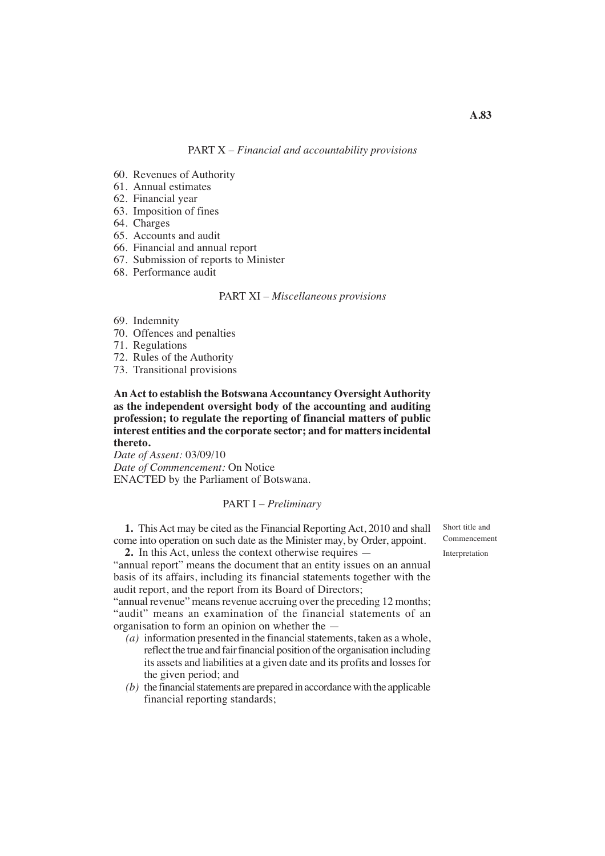- 60. Revenues of Authority
- 61. Annual estimates
- 62. Financial year
- 63. Imposition of fines
- 64. Charges
- 65. Accounts and audit
- 66. Financial and annual report
- 67. Submission of reports to Minister
- 68. Performance audit

## PART XI – *Miscellaneous provisions*

- 69. Indemnity
- 70. Offences and penalties
- 71. Regulations
- 72. Rules of the Authority
- 73. Transitional provisions

# **An Act to establish the Botswana Accountancy Oversight Authority as the independent oversight body of the accounting and auditing profession; to regulate the reporting of financial matters of public interest entities and the corporate sector; and for matters incidental thereto.**

*Date of Assent:* 03/09/10 *Date of Commencement:* On Notice ENACTED by the Parliament of Botswana.

#### PART I – *Preliminary*

**1.** This Act may be cited as the Financial Reporting Act, 2010 and shall come into operation on such date as the Minister may, by Order, appoint.

**2.** In this Act, unless the context otherwise requires — "annual report" means the document that an entity issues on an annual basis of its affairs, including its financial statements together with the audit report, and the report from its Board of Directors;

"annual revenue" means revenue accruing over the preceding 12 months; "audit" means an examination of the financial statements of an organisation to form an opinion on whether the —

- *(a)* information presented in the financial statements, taken as a whole, reflect the true and fair financial position of the organisation including its assets and liabilities at a given date and its profits and losses for the given period; and
- *(b)* the financial statements are prepared in accordance with the applicable financial reporting standards;

Short title and Commencement Interpretation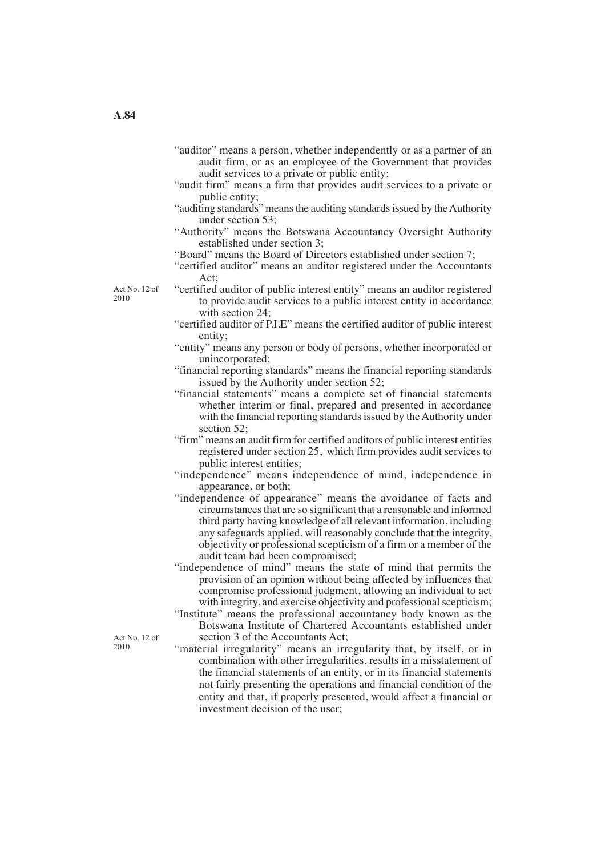- "auditor" means a person, whether independently or as a partner of an audit firm, or as an employee of the Government that provides audit services to a private or public entity;
- "audit firm" means a firm that provides audit services to a private or public entity;
- "auditing standards" means the auditing standards issued by the Authority under section 53;
- "Authority" means the Botswana Accountancy Oversight Authority established under section 3;
- "Board" means the Board of Directors established under section 7;
- "certified auditor" means an auditor registered under the Accountants  $Act$

Act No. 12 of 2010

- "certified auditor of public interest entity" means an auditor registered to provide audit services to a public interest entity in accordance with section 24;
- "certified auditor of P.I.E" means the certified auditor of public interest entity;
- "entity" means any person or body of persons, whether incorporated or unincorporated;
- "financial reporting standards" means the financial reporting standards issued by the Authority under section 52;
- "financial statements" means a complete set of financial statements whether interim or final, prepared and presented in accordance with the financial reporting standards issued by the Authority under section 52;
- "firm" means an audit firm for certified auditors of public interest entities registered under section 25, which firm provides audit services to public interest entities;
- "independence" means independence of mind, independence in appearance, or both;
- "independence of appearance" means the avoidance of facts and circumstances that are so significant that a reasonable and informed third party having knowledge of all relevant information, including any safeguards applied, will reasonably conclude that the integrity, objectivity or professional scepticism of a firm or a member of the audit team had been compromised;
- "independence of mind" means the state of mind that permits the provision of an opinion without being affected by influences that compromise professional judgment, allowing an individual to act with integrity, and exercise objectivity and professional scepticism;
- "Institute" means the professional accountancy body known as the Botswana Institute of Chartered Accountants established under section 3 of the Accountants Act;
- "material irregularity" means an irregularity that, by itself, or in combination with other irregularities, results in a misstatement of the financial statements of an entity, or in its financial statements not fairly presenting the operations and financial condition of the entity and that, if properly presented, would affect a financial or investment decision of the user;

Act  $No$  12 of 2010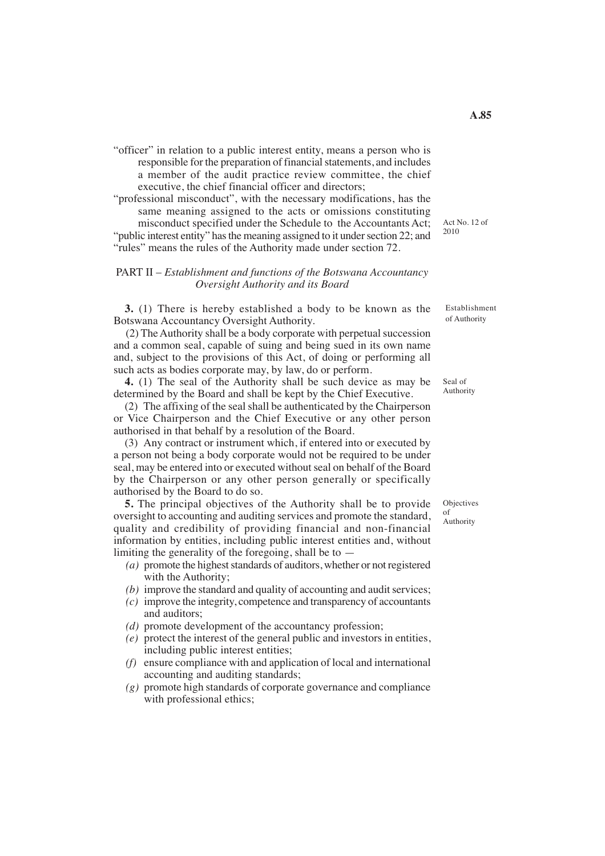"officer" in relation to a public interest entity, means a person who is responsible for the preparation of financial statements, and includes a member of the audit practice review committee, the chief executive, the chief financial officer and directors;

"professional misconduct", with the necessary modifications, has the same meaning assigned to the acts or omissions constituting misconduct specified under the Schedule to the Accountants Act; "public interest entity" has the meaning assigned to it under section 22; and "rules" means the rules of the Authority made under section 72.

## PART II – *Establishment and functions of the Botswana Accountancy Oversight Authority and its Board*

**3.** (1) There is hereby established a body to be known as the Botswana Accountancy Oversight Authority.

(2) The Authority shall be a body corporate with perpetual succession and a common seal, capable of suing and being sued in its own name and, subject to the provisions of this Act, of doing or performing all such acts as bodies corporate may, by law, do or perform.

**4.** (1) The seal of the Authority shall be such device as may be determined by the Board and shall be kept by the Chief Executive.

(2) The affixing of the seal shall be authenticated by the Chairperson or Vice Chairperson and the Chief Executive or any other person authorised in that behalf by a resolution of the Board.

(3) Any contract or instrument which, if entered into or executed by a person not being a body corporate would not be required to be under seal, may be entered into or executed without seal on behalf of the Board by the Chairperson or any other person generally or specifically authorised by the Board to do so.

**5.** The principal objectives of the Authority shall be to provide oversight to accounting and auditing services and promote the standard, quality and credibility of providing financial and non-financial information by entities, including public interest entities and, without limiting the generality of the foregoing, shall be to  $-$ 

- *(a)* promote the highest standards of auditors, whether or not registered with the Authority;
- *(b)* improve the standard and quality of accounting and audit services;
- *(c)* improve the integrity, competence and transparency of accountants and auditors;
- *(d)* promote development of the accountancy profession;
- *(e)* protect the interest of the general public and investors in entities, including public interest entities;
- *(f)* ensure compliance with and application of local and international accounting and auditing standards;
- *(g)* promote high standards of corporate governance and compliance with professional ethics;

**Objectives** of Authority

Act No. 12 of 2010

Establishment of Authority

Seal of Authority

**A.85**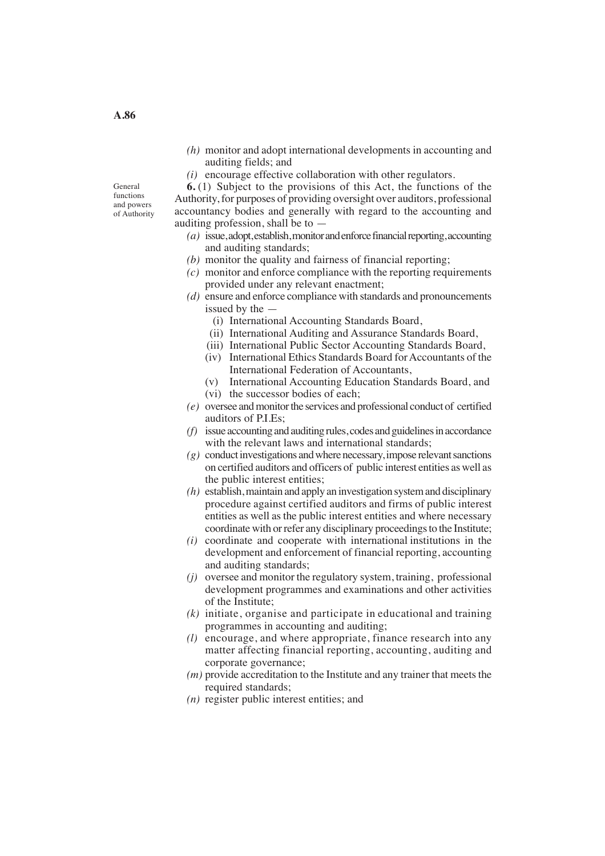- *(h)* monitor and adopt international developments in accounting and auditing fields; and
- *(i)* encourage effective collaboration with other regulators.

**6.** (1) Subject to the provisions of this Act, the functions of the Authority, for purposes of providing oversight over auditors, professional accountancy bodies and generally with regard to the accounting and auditing profession, shall be to —

- *(a)* issue, adopt, establish, monitor and enforcefinancial reporting, accounting and auditing standards;
- *(b)* monitor the quality and fairness of financial reporting;
- *(c)* monitor and enforce compliance with the reporting requirements provided under any relevant enactment;
- *(d)* ensure and enforce compliance with standards and pronouncements issued by the —
	- (i) International Accounting Standards Board,
	- (ii) International Auditing and Assurance Standards Board,
	- (iii) International Public Sector Accounting Standards Board,
	- (iv) International Ethics Standards Board for Accountants of the International Federation of Accountants,
	- (v) International Accounting Education Standards Board, and (vi) the successor bodies of each;
- *(e)* oversee and monitor the services and professional conduct of certified auditors of P.I.Es;
- *(f)* issue accounting and auditing rules, codes and guidelines in accordance with the relevant laws and international standards;
- *(g)* conduct investigations and where necessary, impose relevant sanctions on certified auditors and officers of public interest entities as well as the public interest entities;
- *(h)* establish, maintain and apply an investigation system and disciplinary procedure against certified auditors and firms of public interest entities as well as the public interest entities and where necessary coordinate with or refer any disciplinary proceedings to the Institute;
- *(i)* coordinate and cooperate with international institutions in the development and enforcement of financial reporting, accounting and auditing standards;
- *(j)* oversee and monitor the regulatory system, training, professional development programmes and examinations and other activities of the Institute;
- *(k)* initiate, organise and participate in educational and training programmes in accounting and auditing;
- *(l)* encourage, and where appropriate, finance research into any matter affecting financial reporting, accounting, auditing and corporate governance;
- *(m)* provide accreditation to the Institute and any trainer that meets the required standards;
- *(n)* register public interest entities; and

General functions and powers of Authority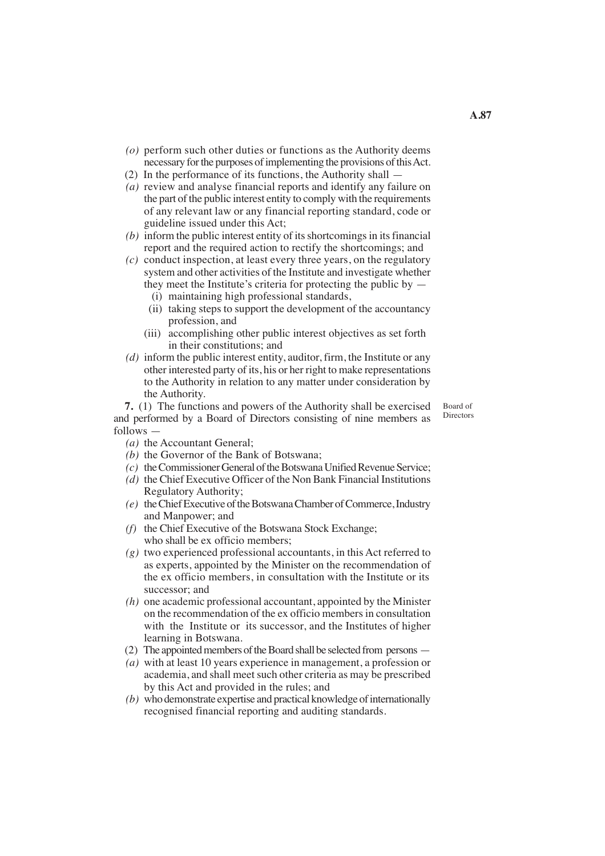- *(o)* perform such other duties or functions as the Authority deems necessary for the purposes of implementing the provisions of this Act.
- (2) In the performance of its functions, the Authority shall —
- *(a)* review and analyse financial reports and identify any failure on the part of the public interest entity to comply with the requirements of any relevant law or any financial reporting standard, code or guideline issued under this Act;
- *(b)* inform the public interest entity of its shortcomings in its financial report and the required action to rectify the shortcomings; and
- *(c)* conduct inspection, at least every three years, on the regulatory system and other activities of the Institute and investigate whether they meet the Institute's criteria for protecting the public by —
	- (i) maintaining high professional standards,
	- (ii) taking steps to support the development of the accountancy profession, and
	- (iii) accomplishing other public interest objectives as set forth in their constitutions; and
- *(d)* inform the public interest entity, auditor, firm, the Institute or any other interested party of its, his or her right to make representations to the Authority in relation to any matter under consideration by the Authority.

**7.** (1) The functions and powers of the Authority shall be exercised and performed by a Board of Directors consisting of nine members as follows —

Board of **Directors** 

- *(a)* the Accountant General;
- *(b)* the Governor of the Bank of Botswana;
- *(c)* the Commissioner General of the Botswana Unified Revenue Service;
- *(d)* the Chief Executive Officer of the Non Bank Financial Institutions Regulatory Authority;
- *(e)* the Chief Executive of the Botswana Chamber of Commerce, Industry and Manpower; and
- *(f)* the Chief Executive of the Botswana Stock Exchange; who shall be ex officio members;
- *(g)* two experienced professional accountants, in this Act referred to as experts, appointed by the Minister on the recommendation of the ex officio members, in consultation with the Institute or its successor; and
- *(h)* one academic professional accountant, appointed by the Minister on the recommendation of the ex officio members in consultation with the Institute or its successor, and the Institutes of higher learning in Botswana.
- (2) The appointed members of the Board shall be selected from persons —
- *(a)* with at least 10 years experience in management, a profession or academia, and shall meet such other criteria as may be prescribed by this Act and provided in the rules; and
- *(b)* who demonstrate expertise and practical knowledge of internationally recognised financial reporting and auditing standards.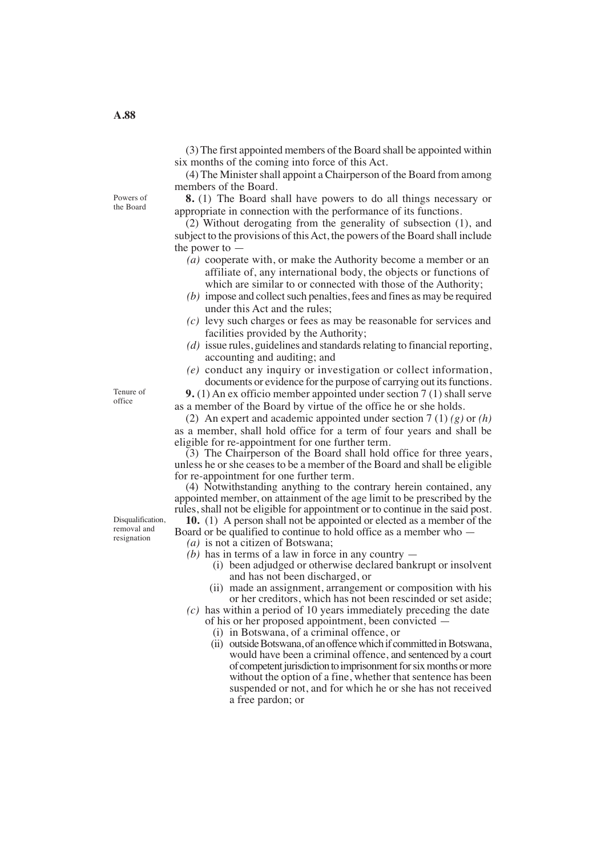(3) The first appointed members of the Board shall be appointed within six months of the coming into force of this Act.

(4) The Minister shall appoint a Chairperson of the Board from among members of the Board.

**8.** (1) The Board shall have powers to do all things necessary or appropriate in connection with the performance of its functions.

(2) Without derogating from the generality of subsection (1), and subject to the provisions of this Act, the powers of the Board shall include the power to —

- *(a)* cooperate with, or make the Authority become a member or an affiliate of, any international body, the objects or functions of which are similar to or connected with those of the Authority;
- *(b)* impose and collect such penalties, fees and fines as may be required under this Act and the rules;
- *(c)* levy such charges or fees as may be reasonable for services and facilities provided by the Authority;
- *(d)* issue rules, guidelines and standards relating to financial reporting, accounting and auditing; and
- *(e)* conduct any inquiry or investigation or collect information, documents or evidence for the purpose of carrying out its functions.

**9.** (1) An ex officio member appointed under section 7 (1) shall serve as a member of the Board by virtue of the office he or she holds.

(2) An expert and academic appointed under section 7 (1) *(g)* or *(h)* as a member, shall hold office for a term of four years and shall be eligible for re-appointment for one further term.

 $(3)$  The Chairperson of the Board shall hold office for three years, unless he or she ceases to be a member of the Board and shall be eligible for re-appointment for one further term.

(4) Notwithstanding anything to the contrary herein contained, any appointed member, on attainment of the age limit to be prescribed by the rules, shall not be eligible for appointment or to continue in the said post.

**10.** (1) A person shall not be appointed or elected as a member of the Board or be qualified to continue to hold office as a member who —

- *(a)* is not a citizen of Botswana;
- $(b)$  has in terms of a law in force in any country  $-$ 
	- (i) been adjudged or otherwise declared bankrupt or insolvent and has not been discharged, or
	- (ii) made an assignment, arrangement or composition with his or her creditors, which has not been rescinded or set aside;

*(c)* has within a period of 10 years immediately preceding the date of his or her proposed appointment, been convicted —

(i) in Botswana, of a criminal offence, or

(ii) outside Botswana, of an offence which if committed in Botswana, would have been a criminal offence, and sentenced by a court of competent jurisdiction to imprisonment for six months or more without the option of a fine, whether that sentence has been suspended or not, and for which he or she has not received a free pardon; or

the Board

Powers of

Tenure of office

Disqualification. removal and resignation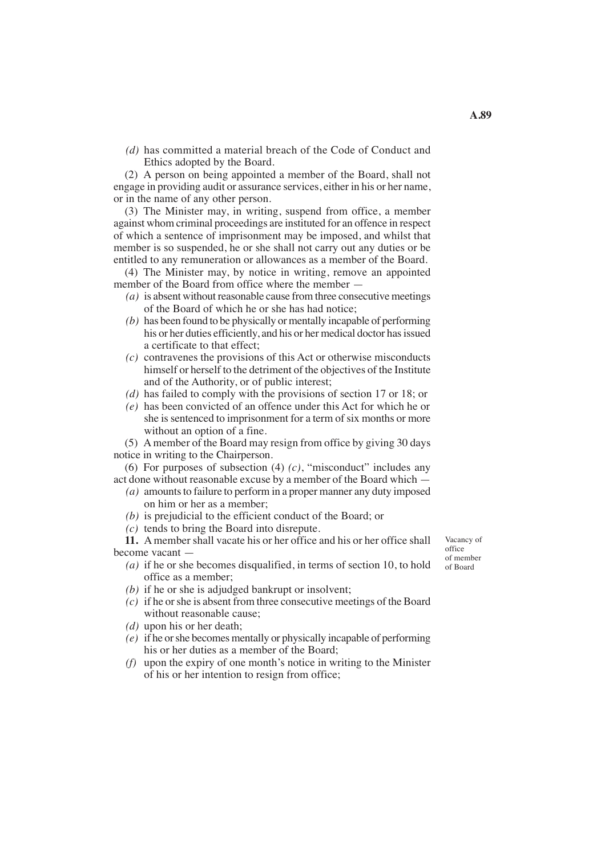*(d)* has committed a material breach of the Code of Conduct and Ethics adopted by the Board.

(2) A person on being appointed a member of the Board, shall not engage in providing audit or assurance services, either in his or her name, or in the name of any other person.

(3) The Minister may, in writing, suspend from office, a member against whom criminal proceedings are instituted for an offence in respect of which a sentence of imprisonment may be imposed, and whilst that member is so suspended, he or she shall not carry out any duties or be entitled to any remuneration or allowances as a member of the Board.

(4) The Minister may, by notice in writing, remove an appointed member of the Board from office where the member —

- *(a)* is absent without reasonable cause from three consecutive meetings of the Board of which he or she has had notice;
- *(b)* has been found to be physically or mentally incapable of performing his or her duties efficiently, and his or her medical doctor has issued a certificate to that effect;
- *(c)* contravenes the provisions of this Act or otherwise misconducts himself or herself to the detriment of the objectives of the Institute and of the Authority, or of public interest;
- *(d)* has failed to comply with the provisions of section 17 or 18; or
- *(e)* has been convicted of an offence under this Act for which he or she is sentenced to imprisonment for a term of six months or more without an option of a fine.

(5) A member of the Board may resign from office by giving 30 days notice in writing to the Chairperson.

(6) For purposes of subsection (4) *(c)*, "misconduct" includes any act done without reasonable excuse by a member of the Board which —

- *(a)* amounts to failure to perform in a proper manner any duty imposed on him or her as a member;
- *(b)* is prejudicial to the efficient conduct of the Board; or
- *(c)* tends to bring the Board into disrepute.

**11.** A member shall vacate his or her office and his or her office shall become vacant —

- *(a)* if he or she becomes disqualified, in terms of section 10, to hold office as a member;
- *(b)* if he or she is adjudged bankrupt or insolvent;
- *(c)* if he or she is absent from three consecutive meetings of the Board without reasonable cause;
- *(d)* upon his or her death;
- *(e)* if he or she becomes mentally or physically incapable of performing his or her duties as a member of the Board;
- *(f)* upon the expiry of one month's notice in writing to the Minister of his or her intention to resign from office;

Vacancy of office of member of Board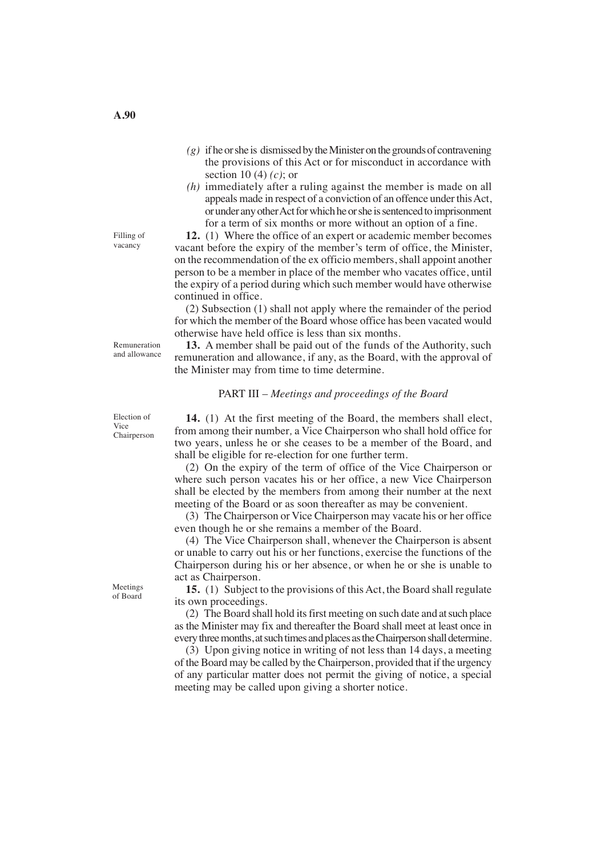- *(g)* if he or she is dismissed by the Minister on the grounds of contravening the provisions of this Act or for misconduct in accordance with section 10 (4) *(c)*; or
- *(h)* immediately after a ruling against the member is made on all appeals made in respect of a conviction of an offence under this Act, or under any other Act for which he or she is sentenced to imprisonment for a term of six months or more without an option of a fine.

**12.** (1) Where the office of an expert or academic member becomes vacant before the expiry of the member's term of office, the Minister, on the recommendation of the ex officio members, shall appoint another person to be a member in place of the member who vacates office, until the expiry of a period during which such member would have otherwise continued in office.

(2) Subsection (1) shall not apply where the remainder of the period for which the member of the Board whose office has been vacated would otherwise have held office is less than six months.

**13.** A member shall be paid out of the funds of the Authority, such remuneration and allowance, if any, as the Board, with the approval of the Minister may from time to time determine.

# PART III – *Meetings and proceedings of the Board*

**14.** (1) At the first meeting of the Board, the members shall elect, from among their number*,* a Vice Chairperson who shall hold office for two years, unless he or she ceases to be a member of the Board, and shall be eligible for re-election for one further term.

(2) On the expiry of the term of office of the Vice Chairperson or where such person vacates his or her office, a new Vice Chairperson shall be elected by the members from among their number at the next meeting of the Board or as soon thereafter as may be convenient.

(3) The Chairperson or Vice Chairperson may vacate his or her office even though he or she remains a member of the Board.

(4) The Vice Chairperson shall, whenever the Chairperson is absent or unable to carry out his or her functions, exercise the functions of the Chairperson during his or her absence, or when he or she is unable to act as Chairperson.

**15.** (1) Subject to the provisions of this Act, the Board shall regulate its own proceedings.

(2) The Board shall hold its first meeting on such date and at such place as the Minister may fix and thereafter the Board shall meet at least once in every three months, at such times and places as the Chairperson shall determine.

(3) Upon giving notice in writing of not less than 14 days, a meeting of the Board may be called by the Chairperson, provided that if the urgency of any particular matter does not permit the giving of notice, a special meeting may be called upon giving a shorter notice.

Filling of vacancy

Election of Vice

Chairperson

Remuneration and allowance

Meetings of Board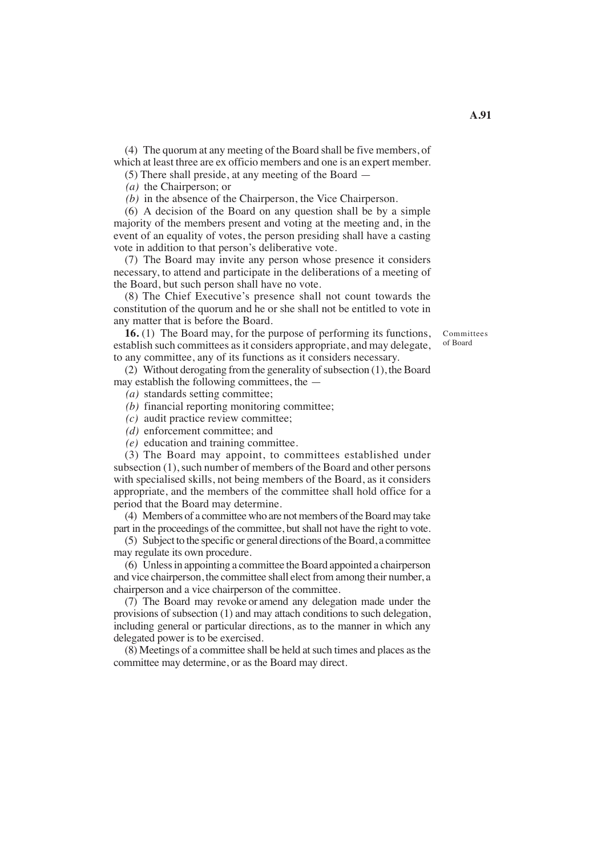(4) The quorum at any meeting of the Board shall be five members, of which at least three are ex officio members and one is an expert member.

(5) There shall preside, at any meeting of the Board —

*(a)* the Chairperson; or

*(b)* in the absence of the Chairperson, the Vice Chairperson.

(6) A decision of the Board on any question shall be by a simple majority of the members present and voting at the meeting and, in the event of an equality of votes, the person presiding shall have a casting vote in addition to that person's deliberative vote.

(7) The Board may invite any person whose presence it considers necessary, to attend and participate in the deliberations of a meeting of the Board, but such person shall have no vote.

(8) The Chief Executive's presence shall not count towards the constitution of the quorum and he or she shall not be entitled to vote in any matter that is before the Board.

**16.** (1) The Board may, for the purpose of performing its functions, establish such committees as it considers appropriate, and may delegate, to any committee, any of its functions as it considers necessary.

(2) Without derogating from the generality of subsection (1), the Board may establish the following committees, the —

- *(a)* standards setting committee;
- *(b)* financial reporting monitoring committee;
- *(c)* audit practice review committee;
- *(d)* enforcement committee; and
- *(e)* education and training committee.

(3) The Board may appoint, to committees established under subsection (1), such number of members of the Board and other persons with specialised skills, not being members of the Board, as it considers appropriate, and the members of the committee shall hold office for a period that the Board may determine.

(4) Members of a committee who are not members of the Board may take part in the proceedings of the committee, but shall not have the right to vote.

(5) Subject to the specific or general directions of the Board, a committee may regulate its own procedure.

(6) Unless in appointing a committee the Board appointed a chairperson and vice chairperson, the committee shall elect from among their number, a chairperson and a vice chairperson of the committee.

(7) The Board may revoke or amend any delegation made under the provisions of subsection (1) and may attach conditions to such delegation, including general or particular directions, as to the manner in which any delegated power is to be exercised.

(8) Meetings of a committee shall be held at such times and places as the committee may determine, or as the Board may direct.

Committees of Board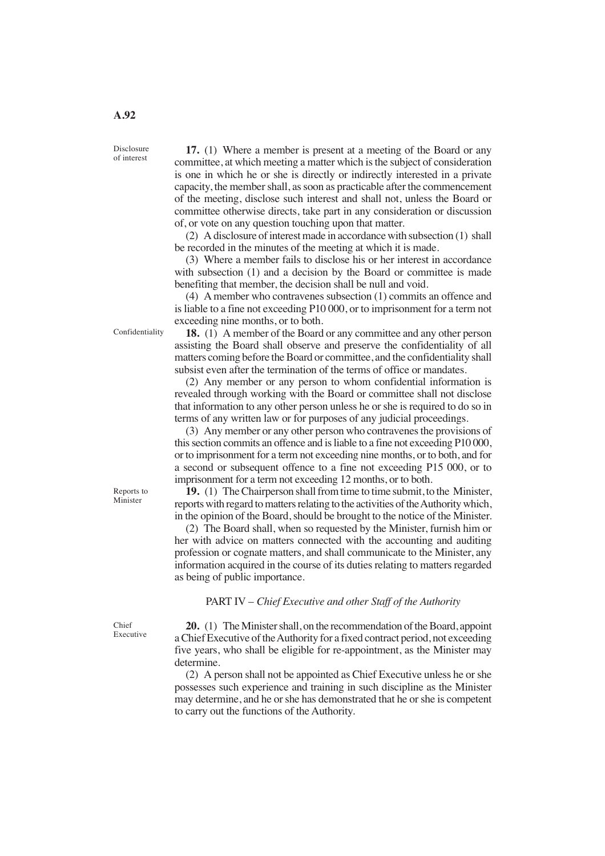**A.92**

Disclosure of interest

**17.** (1) Where a member is present at a meeting of the Board or any committee, at which meeting a matter which is the subject of consideration is one in which he or she is directly or indirectly interested in a private capacity, the member shall, as soon as practicable after the commencement of the meeting, disclose such interest and shall not, unless the Board or committee otherwise directs, take part in any consideration or discussion of, or vote on any question touching upon that matter.

(2) A disclosure of interest made in accordance with subsection (1) shall be recorded in the minutes of the meeting at which it is made.

(3) Where a member fails to disclose his or her interest in accordance with subsection (1) and a decision by the Board or committee is made benefiting that member, the decision shall be null and void.

(4) A member who contravenes subsection (1) commits an offence and is liable to a fine not exceeding P10 000, or to imprisonment for a term not exceeding nine months, or to both.

**18.** (1) A member of the Board or any committee and any other person assisting the Board shall observe and preserve the confidentiality of all matters coming before the Board or committee, and the confidentiality shall subsist even after the termination of the terms of office or mandates.

(2) Any member or any person to whom confidential information is revealed through working with the Board or committee shall not disclose that information to any other person unless he or she is required to do so in terms of any written law or for purposes of any judicial proceedings.

(3) Any member or any other person who contravenes the provisions of this section commits an offence and is liable to a fine not exceeding P10 000, or to imprisonment for a term not exceeding nine months, or to both, and for a second or subsequent offence to a fine not exceeding P15 000, or to imprisonment for a term not exceeding 12 months, or to both.

**19.** (1) The Chairperson shall from time to time submit, to the Minister, reports with regard to matters relating to the activities of the Authority which, in the opinion of the Board, should be brought to the notice of the Minister.

(2) The Board shall, when so requested by the Minister, furnish him or her with advice on matters connected with the accounting and auditing profession or cognate matters, and shall communicate to the Minister, any information acquired in the course of its duties relating to matters regarded as being of public importance.

PART IV – *Chief Executive and other Staff of the Authority*

Chief Executive

**20.** (1) The Minister shall, on the recommendation of the Board, appoint a Chief Executive of the Authority for a fixed contract period, not exceeding five years, who shall be eligible for re-appointment, as the Minister may determine.

(2) A person shall not be appointed as Chief Executive unless he or she possesses such experience and training in such discipline as the Minister may determine, and he or she has demonstrated that he or she is competent to carry out the functions of the Authority.

Confidentiality

Reports to Minister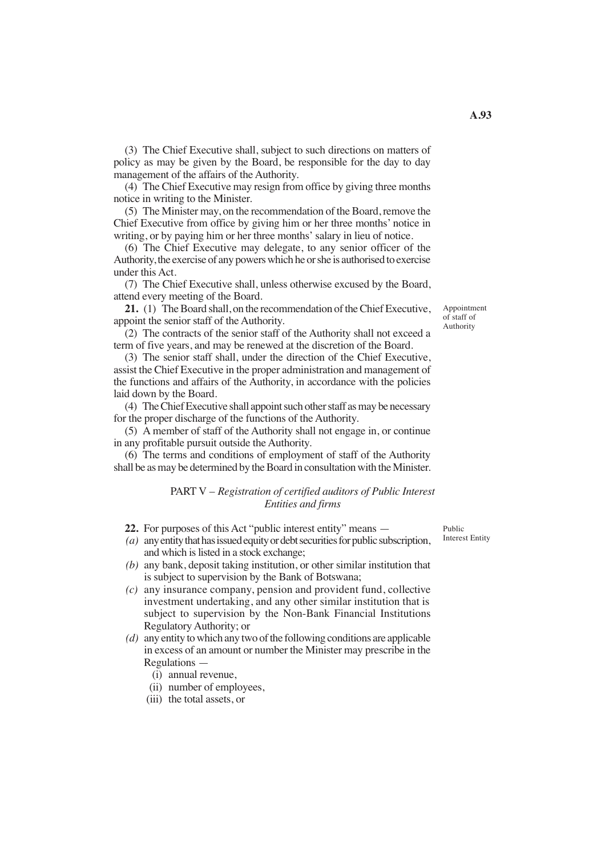(3) The Chief Executive shall, subject to such directions on matters of policy as may be given by the Board, be responsible for the day to day management of the affairs of the Authority.

(4) The Chief Executive may resign from office by giving three months notice in writing to the Minister.

(5) The Minister may, on the recommendation of the Board, remove the Chief Executive from office by giving him or her three months' notice in writing, or by paying him or her three months' salary in lieu of notice.

(6) The Chief Executive may delegate, to any senior officer of the Authority, the exercise of any powers which he or she is authorised to exercise under this Act.

(7) The Chief Executive shall, unless otherwise excused by the Board, attend every meeting of the Board.

**21.** (1) The Board shall, on the recommendation of the Chief Executive, appoint the senior staff of the Authority.

(2) The contracts of the senior staff of the Authority shall not exceed a term of five years, and may be renewed at the discretion of the Board.

(3) The senior staff shall, under the direction of the Chief Executive, assist the Chief Executive in the proper administration and management of the functions and affairs of the Authority, in accordance with the policies laid down by the Board.

(4) The Chief Executive shall appoint such other staff as may be necessary for the proper discharge of the functions of the Authority.

(5) A member of staff of the Authority shall not engage in, or continue in any profitable pursuit outside the Authority.

(6) The terms and conditions of employment of staff of the Authority shall be as may be determined by the Board in consultation with the Minister.

#### PART V – *Registration of certified auditors of Public Interest Entities and firms*

**22.** For purposes of this Act "public interest entity" means —

- *(a)* any entity that has issued equity or debt securities for public subscription, and which is listed in a stock exchange;
- *(b)* any bank, deposit taking institution, or other similar institution that is subject to supervision by the Bank of Botswana;
- *(c)* any insurance company, pension and provident fund, collective investment undertaking, and any other similar institution that is subject to supervision by the Non-Bank Financial Institutions Regulatory Authority; or
- *(d)* any entity to which any two of the following conditions are applicable in excess of an amount or number the Minister may prescribe in the Regulations —
	- (i) annual revenue,
	- (ii) number of employees,
	- (iii) the total assets, or

of staff of Authority

Appointment

Public Interest Entity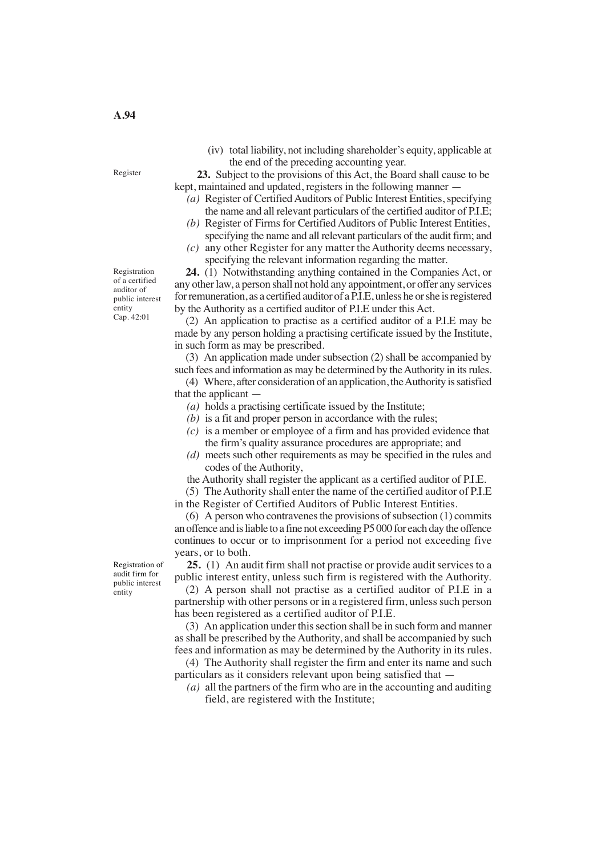(iv) total liability, not including shareholder's equity, applicable at the end of the preceding accounting year.

**23.** Subject to the provisions of this Act, the Board shall cause to be kept, maintained and updated, registers in the following manner —

- *(a)* Register of Certified Auditors of Public Interest Entities, specifying the name and all relevant particulars of the certified auditor of P.I.E;
- *(b)* Register of Firms for Certified Auditors of Public Interest Entities, specifying the name and all relevant particulars of the audit firm; and
- *(c)* any other Register for any matter the Authority deems necessary, specifying the relevant information regarding the matter.

**24.** (1) Notwithstanding anything contained in the Companies Act, or any other law, a person shall not hold any appointment, or offer any services forremuneration, as a certified auditor of a P.I.E, unless he or she is registered by the Authority as a certified auditor of P.I.E under this Act.

(2) An application to practise as a certified auditor of a P.I.E may be made by any person holding a practising certificate issued by the Institute, in such form as may be prescribed.

(3) An application made under subsection (2) shall be accompanied by such fees and information as may be determined by the Authority in its rules.

- (4) Where, after consideration of an application, the Authority is satisfied that the applicant —
	- *(a)* holds a practising certificate issued by the Institute;
	- *(b)* is a fit and proper person in accordance with the rules;
	- *(c)* is a member or employee of a firm and has provided evidence that the firm's quality assurance procedures are appropriate; and
	- *(d)* meets such other requirements as may be specified in the rules and codes of the Authority,
	- the Authority shall register the applicant as a certified auditor of P.I.E.
	- (5) The Authority shall enter the name of the certified auditor of P.I.E

in the Register of Certified Auditors of Public Interest Entities.

(6) A person who contravenes the provisions of subsection (1) commits an offence and is liable to a fine not exceeding P5 000 for each day the offence continues to occur or to imprisonment for a period not exceeding five years, or to both.

**25.** (1) An audit firm shall not practise or provide audit services to a public interest entity, unless such firm is registered with the Authority.

(2) A person shall not practise as a certified auditor of P.I.E in a partnership with other persons or in a registered firm, unless such person has been registered as a certified auditor of P.I.E.

(3) An application under this section shall be in such form and manner as shall be prescribed by the Authority, and shall be accompanied by such fees and information as may be determined by the Authority in its rules.

(4) The Authority shall register the firm and enter its name and such particulars as it considers relevant upon being satisfied that —

*(a)* all the partners of the firm who are in the accounting and auditing field, are registered with the Institute;

Registration of a certified auditor of public interest entity Cap. 42:01

Registration of audit firm for public interest entity

Register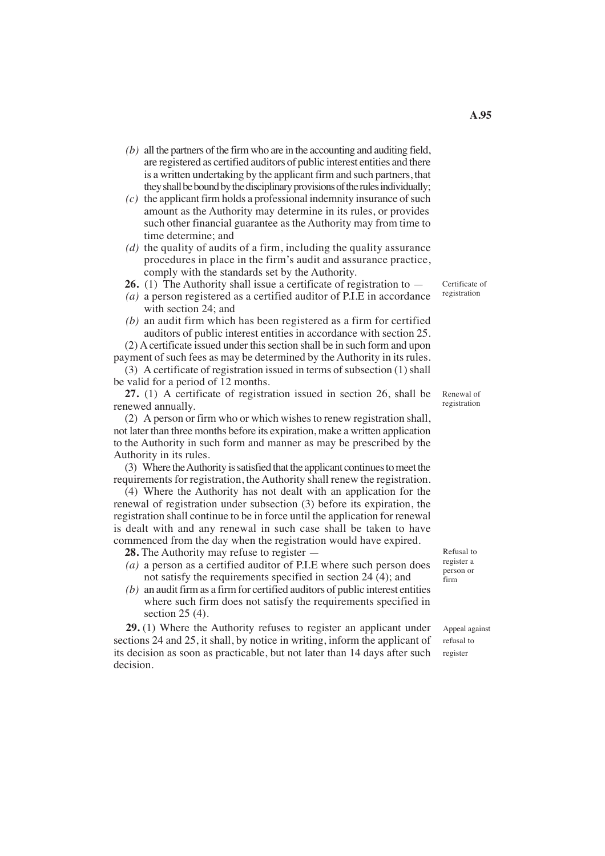- *(b)* all the partners of the firm who are in the accounting and auditing field, are registered as certified auditors of public interest entities and there is a written undertaking by the applicant firm and such partners, that they shall be bound by the disciplinary provisions of the rules individually;
- *(c)* the applicant firm holds a professional indemnity insurance of such amount as the Authority may determine in its rules, or provides such other financial guarantee as the Authority may from time to time determine; and
- *(d)* the quality of audits of a firm, including the quality assurance procedures in place in the firm's audit and assurance practice, comply with the standards set by the Authority.
- **26.** (1) The Authority shall issue a certificate of registration to —
- *(a)* a person registered as a certified auditor of P.I.E in accordance with section 24; and
- *(b)* an audit firm which has been registered as a firm for certified auditors of public interest entities in accordance with section 25.

(2) A certificate issued under this section shall be in such form and upon payment of such fees as may be determined by the Authority in its rules.

(3) A certificate of registration issued in terms of subsection (1) shall be valid for a period of 12 months.

**27.** (1) A certificate of registration issued in section 26, shall be renewed annually.

(2) A person or firm who or which wishes to renew registration shall, not later than three months before its expiration, make a written application to the Authority in such form and manner as may be prescribed by the Authority in its rules.

(3) Where the Authority is satisfied that the applicant continues to meet the requirements for registration, the Authority shall renew the registration.

(4) Where the Authority has not dealt with an application for the renewal of registration under subsection (3) before its expiration, the registration shall continue to be in force until the application for renewal is dealt with and any renewal in such case shall be taken to have commenced from the day when the registration would have expired.

**28.** The Authority may refuse to register —

- *(a)* a person as a certified auditor of P.I.E where such person does not satisfy the requirements specified in section 24 (4); and
- *(b)* an audit firm as a firm for certified auditors of public interest entities where such firm does not satisfy the requirements specified in section 25 (4).

**29.** (1) Where the Authority refuses to register an applicant under sections 24 and 25, it shall, by notice in writing, inform the applicant of its decision as soon as practicable, but not later than 14 days after such decision.

Refusal to register a person or firm

Appeal against refusal to register

Certificate of registration

Renewal of registration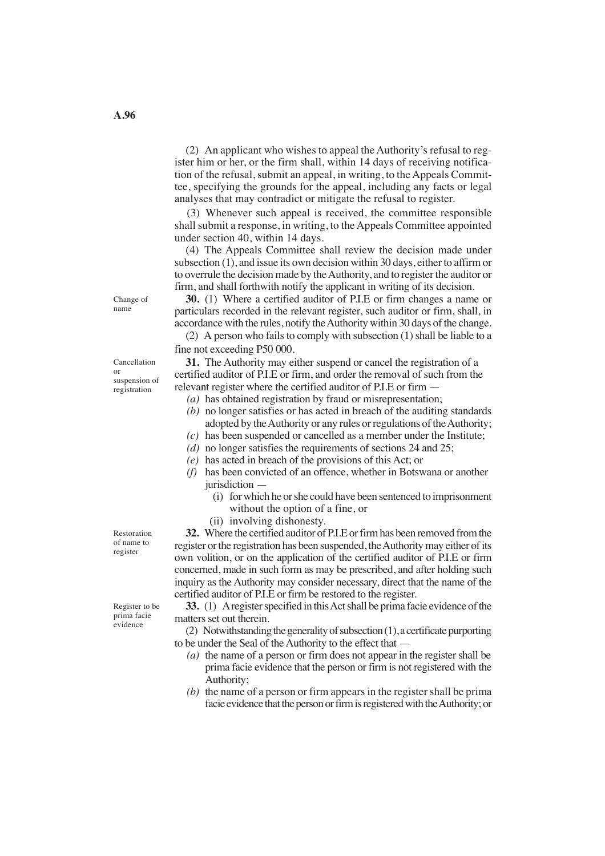(2) An applicant who wishes to appeal the Authority's refusal to register him or her, or the firm shall, within 14 days of receiving notification of the refusal, submit an appeal, in writing, to the Appeals Committee, specifying the grounds for the appeal, including any facts or legal analyses that may contradict or mitigate the refusal to register.

(3) Whenever such appeal is received, the committee responsible shall submit a response, in writing, to the Appeals Committee appointed under section 40, within 14 days.

(4) The Appeals Committee shall review the decision made under subsection (1), and issue its own decision within 30 days, either to affirm or to overrule the decision made by the Authority, and to register the auditor or firm, and shall forthwith notify the applicant in writing of its decision.

**30.** (1) Where a certified auditor of P.I.E or firm changes a name or particulars recorded in the relevant register, such auditor or firm, shall, in accordance with the rules, notify the Authority within 30 days of the change.

(2) A person who fails to comply with subsection (1) shall be liable to a fine not exceeding P50 000.

**31.** The Authority may either suspend or cancel the registration of a certified auditor of P.I.E or firm, and order the removal of such from the relevant register where the certified auditor of P.I.E or firm —

- *(a)* has obtained registration by fraud or misrepresentation;
- *(b)* no longer satisfies or has acted in breach of the auditing standards adopted by the Authority or any rules or regulations of the Authority;
- *(c)* has been suspended or cancelled as a member under the Institute;
- *(d)* no longer satisfies the requirements of sections 24 and 25;
- *(e)* has acted in breach of the provisions of this Act; or
- *(f)* has been convicted of an offence, whether in Botswana or another jurisdiction —
	- (i) for which he or she could have been sentenced to imprisonment without the option of a fine, or
	- (ii) involving dishonesty.

**32.** Where the certified auditor of P.I.E or firm has been removed from the register or the registration has been suspended, the Authority may either of its own volition, or on the application of the certified auditor of P.I.E or firm concerned, made in such form as may be prescribed, and after holding such inquiry as the Authority may consider necessary, direct that the name of the certified auditor of P.I.E or firm be restored to the register.

**33.** (1) A register specified in this Act shall be prima facie evidence of the matters set out therein.

(2) Notwithstanding the generality of subsection (1), a certificate purporting to be under the Seal of the Authority to the effect that —

- *(a)* the name of a person or firm does not appear in the register shall be prima facie evidence that the person or firm is not registered with the Authority;
- *(b)* the name of a person or firm appears in the register shall be prima facie evidence that the person or firm is registered with the Authority; or

Change of name

Cancellation or suspension of registration

Register to be prima facie evidence

Restoration of name to register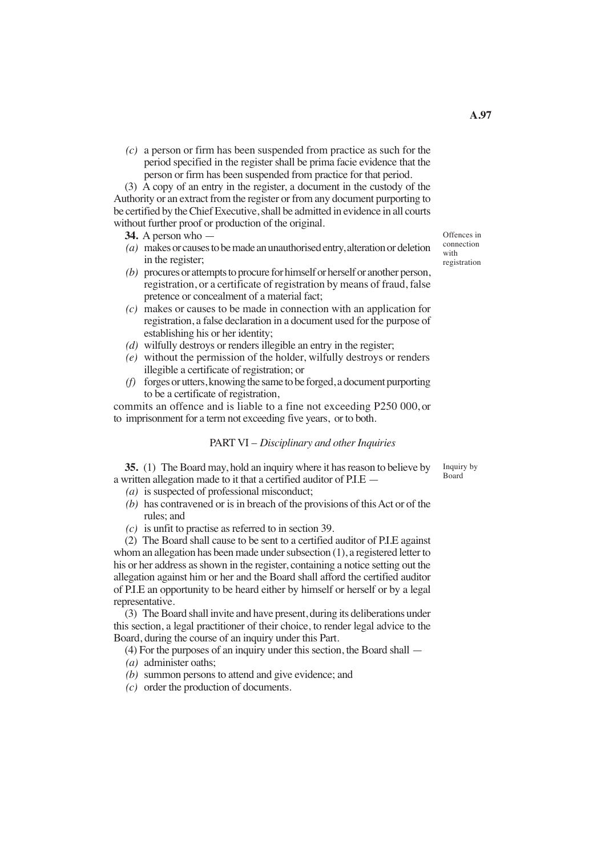*(c)* a person or firm has been suspended from practice as such for the period specified in the register shall be prima facie evidence that the person or firm has been suspended from practice for that period.

(3) A copy of an entry in the register, a document in the custody of the Authority or an extract from the register or from any document purporting to be certified by the Chief Executive, shall be admitted in evidence in all courts without further proof or production of the original.

**34.** A person who —

- *(a)* makes or causes to be made an unauthorised entry, alteration or deletion in the register;
- *(b)* procures or attempts to procure for himself or herself or another person, registration, or a certificate of registration by means of fraud, false pretence or concealment of a material fact;
- *(c)* makes or causes to be made in connection with an application for registration, a false declaration in a document used for the purpose of establishing his or her identity;
- *(d)* wilfully destroys or renders illegible an entry in the register;
- *(e)* without the permission of the holder, wilfully destroys or renders illegible a certificate of registration; or
- *(f)* forges or utters, knowing the same to be forged, a document purporting to be a certificate of registration,

commits an offence and is liable to a fine not exceeding P250 000, or to imprisonment for a term not exceeding five years, or to both.

## PART VI – *Disciplinary and other Inquiries*

**35.** (1) The Board may, hold an inquiry where it has reason to believe by a written allegation made to it that a certified auditor of P.I.E —

- *(a)* is suspected of professional misconduct;
- *(b)* has contravened or is in breach of the provisions of this Act or of the rules; and
- *(c)* is unfit to practise as referred to in section 39.

(2) The Board shall cause to be sent to a certified auditor of P.I.E against whom an allegation has been made under subsection (1), a registered letter to his or her address as shown in the register, containing a notice setting out the allegation against him or her and the Board shall afford the certified auditor of P.I.E an opportunity to be heard either by himself or herself or by a legal representative.

(3) The Board shall invite and have present, during its deliberations under this section, a legal practitioner of their choice, to render legal advice to the Board, during the course of an inquiry under this Part.

(4) For the purposes of an inquiry under this section, the Board shall —

- *(a)* administer oaths;
- *(b)* summon persons to attend and give evidence; and
- *(c)* order the production of documents.

Offences in connection with registration

Inquiry by Board

**A.97**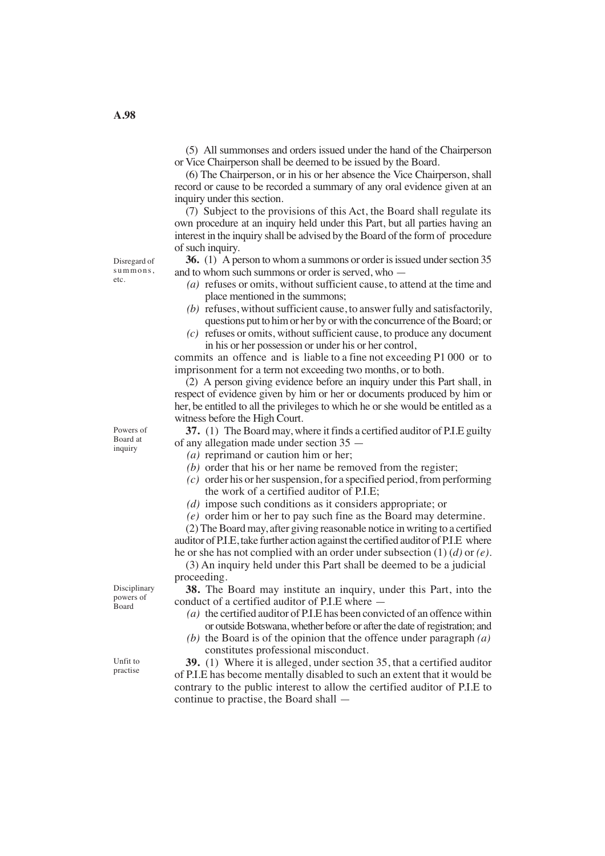(5) All summonses and orders issued under the hand of the Chairperson or Vice Chairperson shall be deemed to be issued by the Board.

(6) The Chairperson, or in his or her absence the Vice Chairperson, shall record or cause to be recorded a summary of any oral evidence given at an inquiry under this section.

(7) Subject to the provisions of this Act, the Board shall regulate its own procedure at an inquiry held under this Part, but all parties having an interest in the inquiry shall be advised by the Board of the form of procedure of such inquiry.

**36.** (1) A person to whom a summons or order is issued under section 35 and to whom such summons or order is served, who —

- *(a)* refuses or omits, without sufficient cause, to attend at the time and place mentioned in the summons;
- *(b)* refuses, without sufficient cause, to answer fully and satisfactorily, questions put to him or her by or with the concurrence of the Board; or
- *(c)* refuses or omits, without sufficient cause, to produce any document in his or her possession or under his or her control,

commits an offence and is liable to a fine not exceeding P1 000 or to imprisonment for a term not exceeding two months, or to both.

(2) A person giving evidence before an inquiry under this Part shall, in respect of evidence given by him or her or documents produced by him or her, be entitled to all the privileges to which he or she would be entitled as a witness before the High Court.

**37.** (1) The Board may, where it finds a certified auditor of P.I.E guilty of any allegation made under section 35 —

- *(a)* reprimand or caution him or her;
- *(b)* order that his or her name be removed from the register;
- *(c)* order his or her suspension, for a specified period, from performing the work of a certified auditor of P.I.E;
- *(d)* impose such conditions as it considers appropriate; or
- *(e)* order him or her to pay such fine as the Board may determine.

(2) The Board may, after giving reasonable notice in writing to a certified auditor of P.I.E, take further action against the certified auditor of P.I.E where he or she has not complied with an order under subsection (1) (*d)* or *(e)*.

(3) An inquiry held under this Part shall be deemed to be a judicial proceeding.

**38.** The Board may institute an inquiry, under this Part, into the conduct of a certified auditor of P.I.E where —

- *(a)* the certified auditor of P.I.E has been convicted of an offence within or outside Botswana, whether before or after the date of registration; and
- *(b)* the Board is of the opinion that the offence under paragraph *(a)* constitutes professional misconduct.

**39.** (1) Where it is alleged, under section 35, that a certified auditor of P.I.E has become mentally disabled to such an extent that it would be contrary to the public interest to allow the certified auditor of P.I.E to continue to practise, the Board shall —

Disregard of summons, etc.

Powers of Board at inquiry

Unfit to practise

Disciplinary powers of Board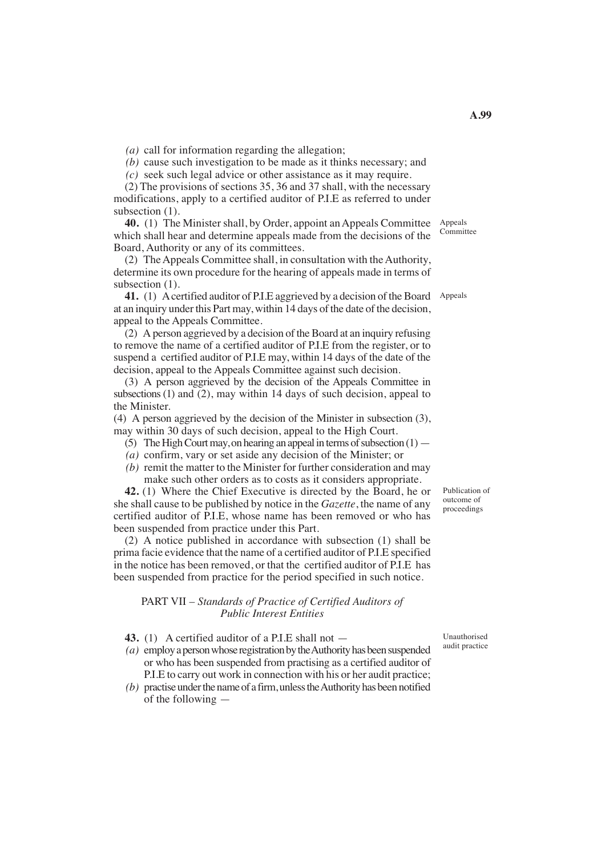*(a)* call for information regarding the allegation;

*(b)* cause such investigation to be made as it thinks necessary; and

*(c)* seek such legal advice or other assistance as it may require.

(2) The provisions of sections 35, 36 and 37 shall, with the necessary modifications, apply to a certified auditor of P.I.E as referred to under subsection  $(1)$ .

**40.** (1) The Minister shall, by Order, appoint an Appeals Committee which shall hear and determine appeals made from the decisions of the Board, Authority or any of its committees.

(2) The Appeals Committee shall, in consultation with the Authority, determine its own procedure for the hearing of appeals made in terms of subsection  $(1)$ .

41. (1) A certified auditor of P.I.E aggrieved by a decision of the Board Appeals at an inquiry under this Part may, within 14 days of the date of the decision, appeal to the Appeals Committee.

(2) A person aggrieved by a decision of the Board at an inquiry refusing to remove the name of a certified auditor of P.I.E from the register, or to suspend a certified auditor of P.I.E may, within 14 days of the date of the decision, appeal to the Appeals Committee against such decision.

(3) A person aggrieved by the decision of the Appeals Committee in subsections (1) and (2), may within 14 days of such decision, appeal to the Minister.

(4) A person aggrieved by the decision of the Minister in subsection (3), may within 30 days of such decision, appeal to the High Court.

- (5) The High Court may, on hearing an appeal in terms of subsection  $(1)$  —
- *(a)* confirm, vary or set aside any decision of the Minister; or
- *(b)* remit the matter to the Minister for further consideration and may make such other orders as to costs as it considers appropriate.

**42.** (1) Where the Chief Executive is directed by the Board, he or she shall cause to be published by notice in the *Gazette*, the name of any certified auditor of P.I.E, whose name has been removed or who has been suspended from practice under this Part.

(2) A notice published in accordance with subsection (1) shall be prima facie evidence that the name of a certified auditor of P.I.E specified in the notice has been removed, or that the certified auditor of P.I.E has been suspended from practice for the period specified in such notice.

## PART VII *– Standards of Practice of Certified Auditors of Public Interest Entities*

- **43.** (1) A certified auditor of a P.I.E shall not —
- *(a)* employ a person whose registration by the Authority has been suspended or who has been suspended from practising as a certified auditor of P.I.E to carry out work in connection with his or her audit practice;
- *(b)* practise under the name of a firm, unless the Authority has been notified of the following —

Publication of outcome of proceedings

Unauthorised audit practice

Appeals Committee

**A.99**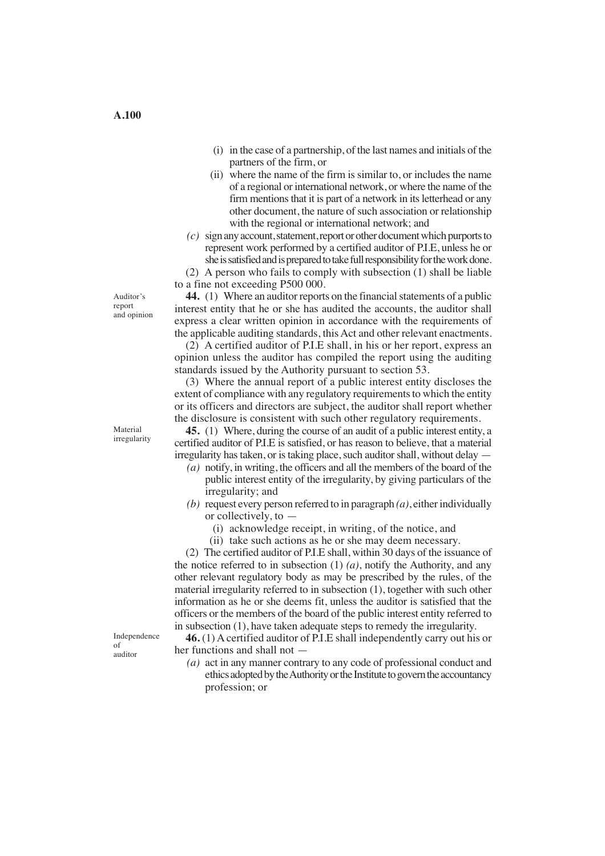- (i) in the case of a partnership, of the last names and initials of the partners of the firm, or
- (ii) where the name of the firm is similar to, or includes the name of a regional or international network, or where the name of the firm mentions that it is part of a network in its letterhead or any other document, the nature of such association or relationship with the regional or international network; and
- *(c)* sign any account, statement, report or other document which purports to represent work performed by a certified auditor of P.I.E, unless he or she is satisfied and is prepared to take full responsibility for the work done.

(2) A person who fails to comply with subsection (1) shall be liable to a fine not exceeding P500 000.

**44.** (1) Where an auditor reports on the financial statements of a public interest entity that he or she has audited the accounts, the auditor shall express a clear written opinion in accordance with the requirements of the applicable auditing standards, this Act and other relevant enactments.

(2) A certified auditor of P.I.E shall, in his or her report, express an opinion unless the auditor has compiled the report using the auditing standards issued by the Authority pursuant to section 53.

(3) Where the annual report of a public interest entity discloses the extent of compliance with any regulatory requirements to which the entity or its officers and directors are subject, the auditor shall report whether the disclosure is consistent with such other regulatory requirements.

**45.** (1) Where, during the course of an audit of a public interest entity, a certified auditor of P.I.E is satisfied, or has reason to believe, that a material irregularity has taken, or is taking place, such auditor shall, without delay —

- *(a)* notify, in writing, the officers and all the members of the board of the public interest entity of the irregularity, by giving particulars of the irregularity; and
- *(b)* request every person referred to in paragraph *(a)*, either individually or collectively, to —
	- (i) acknowledge receipt, in writing, of the notice, and
	- (ii) take such actions as he or she may deem necessary.

(2) The certified auditor of P.I.E shall, within 30 days of the issuance of the notice referred to in subsection (1) *(a)*, notify the Authority, and any other relevant regulatory body as may be prescribed by the rules, of the material irregularity referred to in subsection (1), together with such other information as he or she deems fit, unless the auditor is satisfied that the officers or the members of the board of the public interest entity referred to in subsection (1), have taken adequate steps to remedy the irregularity.

**46.** (1) A certified auditor of P.I.E shall independently carry out his or her functions and shall not —

*(a)* act in any manner contrary to any code of professional conduct and ethics adopted by the Authority or the Institute to govern the accountancy profession; or

Auditor's report and opinion

Material irregularity

**A.100**

Independence of auditor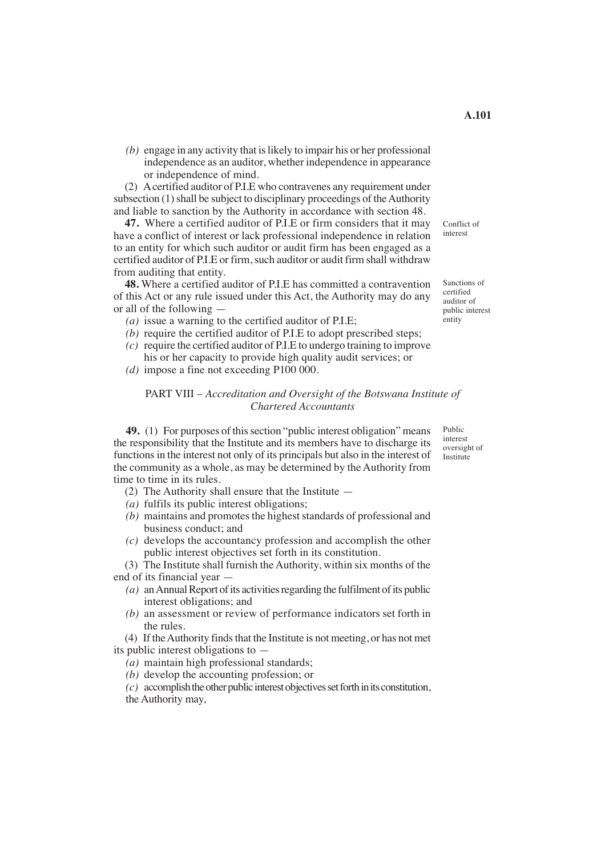*(b)* engage in any activity that is likely to impair his or her professional independence as an auditor, whether independence in appearance or independence of mind.

(2) A certified auditor of P.I.E who contravenes any requirement under subsection (1) shall be subject to disciplinary proceedings of the Authority and liable to sanction by the Authority in accordance with section 48.

**47.** Where a certified auditor of P.I.E or firm considers that it may have a conflict of interest or lack professional independence in relation to an entity for which such auditor or audit firm has been engaged as a certified auditor of P.I.E or firm, such auditor or audit firm shall withdraw from auditing that entity.

**48.** Where a certified auditor of P.I.E has committed a contravention of this Act or any rule issued under this Act, the Authority may do any or all of the following —

- *(a)* issue a warning to the certified auditor of P.I.E;
- *(b)* require the certified auditor of P.I.E to adopt prescribed steps; *(c)* require the certified auditor of P.I.E to undergo training to improve
- his or her capacity to provide high quality audit services; or *(d)* impose a fine not exceeding P100 000.
- 

# PART VIII – *Accreditation and Oversight of the Botswana Institute of Chartered Accountants*

**49.** (1) For purposes of this section "public interest obligation" means the responsibility that the Institute and its members have to discharge its functions in the interest not only of its principals but also in the interest of the community as a whole, as may be determined by the Authority from time to time in its rules.

- (2) The Authority shall ensure that the Institute —
- *(a)* fulfils its public interest obligations;
- *(b)* maintains and promotes the highest standards of professional and business conduct; and
- *(c)* develops the accountancy profession and accomplish the other public interest objectives set forth in its constitution.

(3) The Institute shall furnish the Authority, within six months of the end of its financial year —

- *(a)* an Annual Report of its activities regarding the fulfilment of its public interest obligations; and
- *(b)* an assessment or review of performance indicators set forth in the rules.

(4) If the Authority finds that the Institute is not meeting, or has not met its public interest obligations to —

- *(a)* maintain high professional standards;
- *(b)* develop the accounting profession; or

*(c)* accomplish the other public interest objectives set forth in its constitution, the Authority may,

Public interest oversight of Institute

Conflict of interest

Sanctions of certified auditor of public interest

entity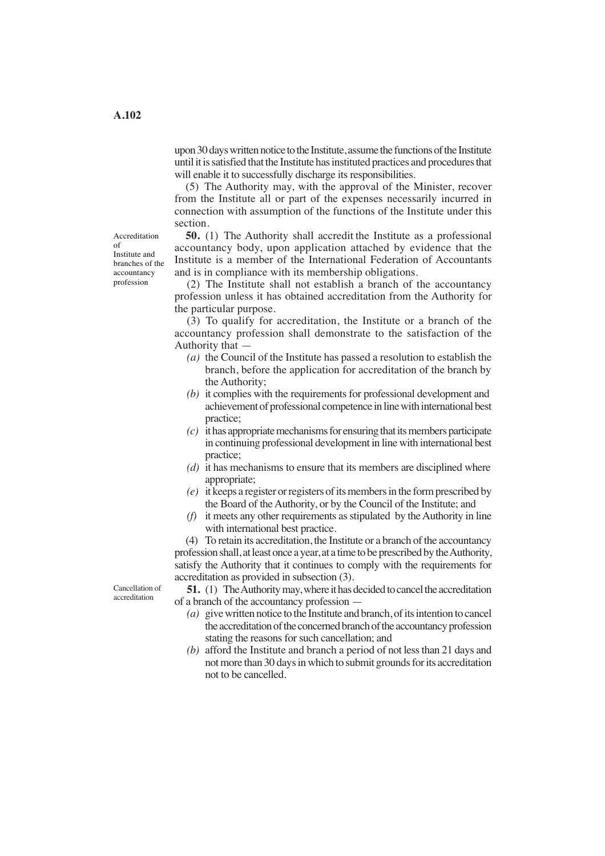upon 30 days written notice to the Institute, assume the functions of the Institute until it is satisfied that the Institute has instituted practices and procedures that will enable it to successfully discharge its responsibilities.

(5) The Authority may, with the approval of the Minister, recover from the Institute all or part of the expenses necessarily incurred in connection with assumption of the functions of the Institute under this section.

**50.** (1) The Authority shall accredit the Institute as a professional accountancy body, upon application attached by evidence that the Institute is a member of the International Federation of Accountants and is in compliance with its membership obligations.

(2) The Institute shall not establish a branch of the accountancy profession unless it has obtained accreditation from the Authority for the particular purpose.

(3) To qualify for accreditation, the Institute or a branch of the accountancy profession shall demonstrate to the satisfaction of the Authority that —

- *(a)* the Council of the Institute has passed a resolution to establish the branch, before the application for accreditation of the branch by the Authority;
- *(b)* it complies with the requirements for professional development and achievement of professional competence in line with international best practice;
- *(c)* it has appropriate mechanisms for ensuring that its members participate in continuing professional development in line with international best practice;
- *(d)* it has mechanisms to ensure that its members are disciplined where appropriate;
- *(e)* it keeps a register or registers of its members in the form prescribed by the Board of the Authority, or by the Council of the Institute; and
- *(f)* it meets any other requirements as stipulated by the Authority in line with international best practice.

(4) To retain its accreditation, the Institute or a branch of the accountancy profession shall, at least once a year, at a time to be prescribed by the Authority, satisfy the Authority that it continues to comply with the requirements for accreditation as provided in subsection (3).

**51.** (1) The Authority may, where it has decided to cancel the accreditation of a branch of the accountancy profession —

- *(a)* give written notice to the Institute and branch, of its intention to cancel the accreditation of the concerned branch of the accountancy profession stating the reasons for such cancellation; and
- *(b)* afford the Institute and branch a period of not less than 21 days and not more than 30 days in which to submit grounds for its accreditation not to be cancelled.

Accreditation of Institute and branches of the accountancy profession

Cancellation of accreditation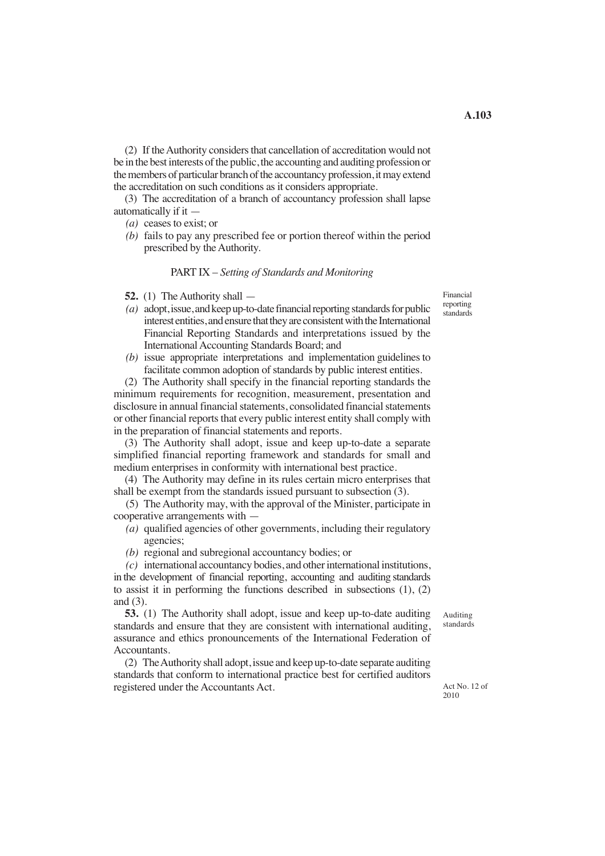(2) If the Authority considers that cancellation of accreditation would not be in the best interests of the public, the accounting and auditing profession or the members of particular branch of the accountancy profession, it may extend the accreditation on such conditions as it considers appropriate.

(3) The accreditation of a branch of accountancy profession shall lapse automatically if it —

- *(a)* ceases to exist; or
- *(b)* fails to pay any prescribed fee or portion thereof within the period prescribed by the Authority.

## PART IX – *Setting of Standards and Monitoring*

**52.** (1) The Authority shall —

- *(a)* adopt, issue, and keep up-to-date financial reporting standards for public interest entities, and ensure that they are consistent with the International Financial Reporting Standards and interpretations issued by the International Accounting Standards Board; and
- *(b)* issue appropriate interpretations and implementation guidelines to facilitate common adoption of standards by public interest entities.

(2) The Authority shall specify in the financial reporting standards the minimum requirements for recognition, measurement, presentation and disclosure in annual financial statements, consolidated financial statements or other financial reports that every public interest entity shall comply with in the preparation of financial statements and reports.

(3) The Authority shall adopt, issue and keep up-to-date a separate simplified financial reporting framework and standards for small and medium enterprises in conformity with international best practice.

(4) The Authority may define in its rules certain micro enterprises that shall be exempt from the standards issued pursuant to subsection (3).

(5) The Authority may, with the approval of the Minister, participate in cooperative arrangements with —

- *(a)* qualified agencies of other governments, including their regulatory agencies;
- *(b)* regional and subregional accountancy bodies; or

*(c)* international accountancy bodies, and other international institutions, in the development of financial reporting, accounting and auditing standards to assist it in performing the functions described in subsections (1), (2) and (3).

**53.** (1) The Authority shall adopt, issue and keep up-to-date auditing standards and ensure that they are consistent with international auditing, assurance and ethics pronouncements of the International Federation of Accountants.

(2) The Authority shall adopt, issue and keep up-to-date separate auditing standards that conform to international practice best for certified auditors registered under the Accountants Act.

Financial reporting standards

Auditing standards

Act No. 12 of 2010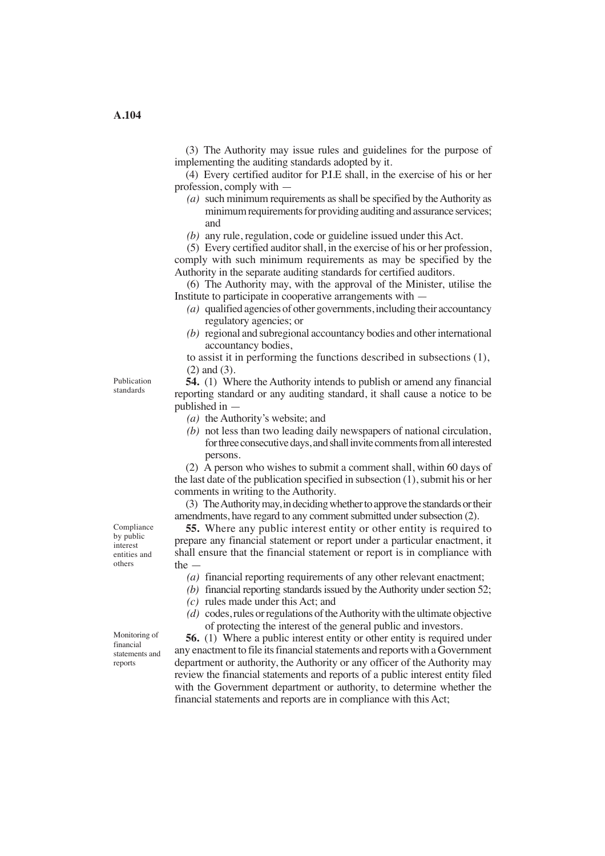(3) The Authority may issue rules and guidelines for the purpose of implementing the auditing standards adopted by it.

(4) Every certified auditor for P.I.E shall, in the exercise of his or her profession, comply with —

- *(a)* such minimum requirements as shall be specified by the Authority as minimum requirements for providing auditing and assurance services; and
- *(b)* any rule, regulation, code or guideline issued under this Act.

(5) Every certified auditor shall, in the exercise of his or her profession, comply with such minimum requirements as may be specified by the Authority in the separate auditing standards for certified auditors.

(6) The Authority may, with the approval of the Minister, utilise the Institute to participate in cooperative arrangements with —

- *(a)* qualified agencies of other governments, including their accountancy regulatory agencies; or
- *(b)* regional and subregional accountancy bodies and other international accountancy bodies,

to assist it in performing the functions described in subsections (1), (2) and (3).

**54.** (1) Where the Authority intends to publish or amend any financial reporting standard or any auditing standard, it shall cause a notice to be published in —

- *(a)* the Authority's website; and
- *(b)* not less than two leading daily newspapers of national circulation, for three consecutive days, and shall invite comments from all interested persons.

(2) A person who wishes to submit a comment shall, within 60 days of the last date of the publication specified in subsection (1), submit his or her comments in writing to the Authority.

(3) The Authority may, in deciding whether to approve the standards or their amendments, have regard to any comment submitted under subsection (2).

**55.** Where any public interest entity or other entity is required to prepare any financial statement or report under a particular enactment, it shall ensure that the financial statement or report is in compliance with the —

- *(a)* financial reporting requirements of any other relevant enactment;
- *(b)* financial reporting standards issued by the Authority under section 52;
- *(c)* rules made under this Act; and
- *(d)* codes, rules or regulations of the Authority with the ultimate objective of protecting the interest of the general public and investors.

**56.** (1) Where a public interest entity or other entity is required under any enactment to file its financial statements and reports with a Government department or authority, the Authority or any officer of the Authority may review the financial statements and reports of a public interest entity filed with the Government department or authority, to determine whether the financial statements and reports are in compliance with this Act;

Compliance by public interest entities and others

Publication standards

**A.104**

Monitoring of financial statements and

reports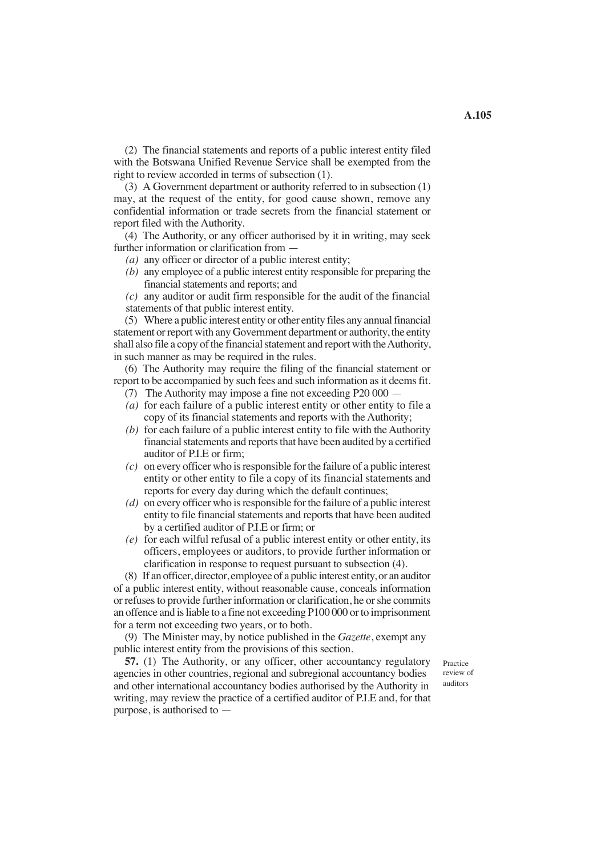(2) The financial statements and reports of a public interest entity filed with the Botswana Unified Revenue Service shall be exempted from the right to review accorded in terms of subsection (1).

(3) A Government department or authority referred to in subsection (1) may, at the request of the entity, for good cause shown, remove any confidential information or trade secrets from the financial statement or report filed with the Authority.

(4) The Authority, or any officer authorised by it in writing, may seek further information or clarification from —

- *(a)* any officer or director of a public interest entity;
- *(b)* any employee of a public interest entity responsible for preparing the financial statements and reports; and

*(c)* any auditor or audit firm responsible for the audit of the financial statements of that public interest entity.

(5) Where a public interest entity or other entity files any annual financial statement or report with any Government department or authority, the entity shall also file a copy of the financial statement and report with the Authority, in such manner as may be required in the rules.

(6) The Authority may require the filing of the financial statement or report to be accompanied by such fees and such information as it deems fit.

- (7) The Authority may impose a fine not exceeding P20 000 —
- *(a)* for each failure of a public interest entity or other entity to file a copy of its financial statements and reports with the Authority;
- *(b)* for each failure of a public interest entity to file with the Authority financial statements and reports that have been audited by a certified auditor of P.I.E or firm:
- *(c)* on every officer who is responsible for the failure of a public interest entity or other entity to file a copy of its financial statements and reports for every day during which the default continues;
- *(d)* on every officer who is responsible for the failure of a public interest entity to file financial statements and reports that have been audited by a certified auditor of P.I.E or firm; or
- *(e)* for each wilful refusal of a public interest entity or other entity, its officers, employees or auditors, to provide further information or clarification in response to request pursuant to subsection (4).

(8) If an officer, director, employee of a public interest entity, or an auditor of a public interest entity, without reasonable cause, conceals information or refuses to provide further information or clarification, he or she commits an offence and is liable to a fine not exceeding P100 000 or to imprisonment for a term not exceeding two years, or to both.

(9) The Minister may, by notice published in the *Gazette*, exempt any public interest entity from the provisions of this section.

**57.** (1) The Authority, or any officer, other accountancy regulatory agencies in other countries, regional and subregional accountancy bodies and other international accountancy bodies authorised by the Authority in writing, may review the practice of a certified auditor of P.I.E and, for that purpose, is authorised to —

Practice review of auditors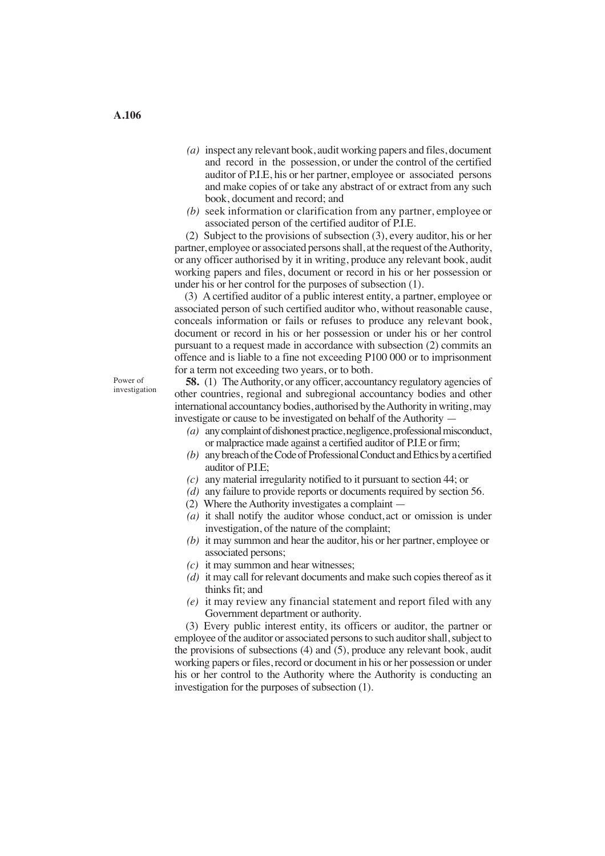- *(a)* inspect any relevant book, audit working papers and files, document and record in the possession, or under the control of the certified auditor of P.I.E, his or her partner, employee or associated persons and make copies of or take any abstract of or extract from any such book, document and record; and
- *(b)* seek information or clarification from any partner, employee or associated person of the certified auditor of P.I.E.

(2) Subject to the provisions of subsection (3), every auditor, his or her partner, employee or associated persons shall, at the request of the Authority, or any officer authorised by it in writing, produce any relevant book, audit working papers and files, document or record in his or her possession or under his or her control for the purposes of subsection (1).

(3) A certified auditor of a public interest entity, a partner, employee or associated person of such certified auditor who, without reasonable cause, conceals information or fails or refuses to produce any relevant book, document or record in his or her possession or under his or her control pursuant to a request made in accordance with subsection (2) commits an offence and is liable to a fine not exceeding P100 000 or to imprisonment for a term not exceeding two years, or to both.

**58.** (1) The Authority, or any officer, accountancy regulatory agencies of other countries, regional and subregional accountancy bodies and other international accountancy bodies, authorised by the Authority in writing, may investigate or cause to be investigated on behalf of the Authority —

- *(a)* any complaint of dishonest practice, negligence, professional misconduct, or malpractice made against a certified auditor of P.I.E or firm;
- *(b)* any breach of the Code of Professional Conduct and Ethics by a certified auditor of P.I.E;
- *(c)* any material irregularity notified to it pursuant to section 44; or
- *(d)* any failure to provide reports or documents required by section 56.
- (2) Where the Authority investigates a complaint —
- *(a)* it shall notify the auditor whose conduct, act or omission is under investigation, of the nature of the complaint;
- *(b)* it may summon and hear the auditor, his or her partner, employee or associated persons;
- *(c)* it may summon and hear witnesses;
- *(d)* it may call for relevant documents and make such copies thereof as it thinks fit; and
- *(e)* it may review any financial statement and report filed with any Government department or authority.

(3) Every public interest entity, its officers or auditor, the partner or employee of the auditor or associated persons to such auditor shall, subject to the provisions of subsections (4) and (5), produce any relevant book, audit working papers or files, record or document in his or her possession or under his or her control to the Authority where the Authority is conducting an investigation for the purposes of subsection (1).

**A.106**

Power of investigation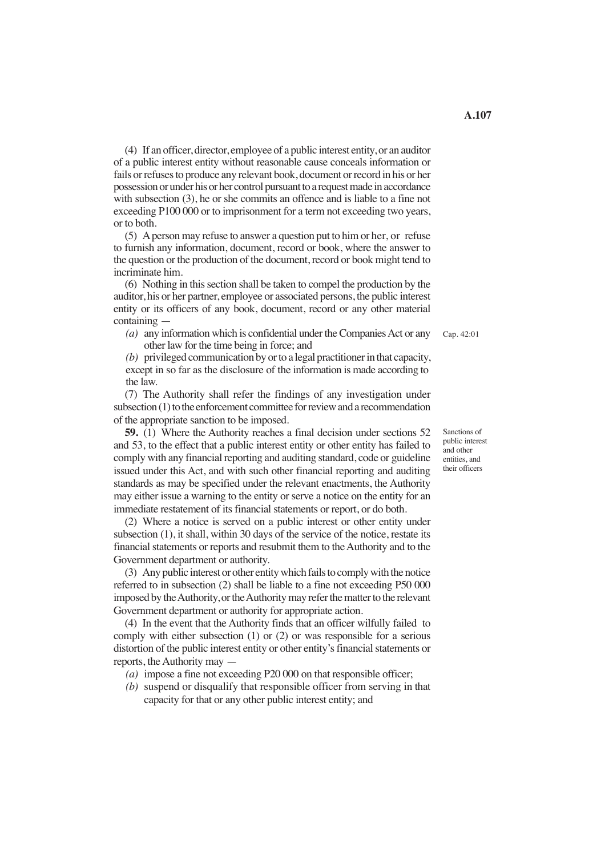(4) If an officer, director, employee of a public interest entity, or an auditor of a public interest entity without reasonable cause conceals information or fails or refuses to produce any relevant book, document or record in his or her possession or under his or her control pursuant to a request made in accordance with subsection (3), he or she commits an offence and is liable to a fine not exceeding P100 000 or to imprisonment for a term not exceeding two years, or to both.

(5) A person may refuse to answer a question put to him or her, or refuse to furnish any information, document, record or book, where the answer to the question or the production of the document, record or book might tend to incriminate him.

(6) Nothing in this section shall be taken to compel the production by the auditor, his or her partner, employee or associated persons, the public interest entity or its officers of any book, document, record or any other material containing —

*(a)* any information which is confidential under the Companies Act or any other law for the time being in force; and

*(b)* privileged communication by or to a legal practitioner in that capacity, except in so far as the disclosure of the information is made according to the law.

(7) The Authority shall refer the findings of any investigation under subsection (1) to the enforcement committee for review and a recommendation of the appropriate sanction to be imposed.

**59.** (1) Where the Authority reaches a final decision under sections 52 and 53, to the effect that a public interest entity or other entity has failed to comply with any financial reporting and auditing standard, code or guideline issued under this Act, and with such other financial reporting and auditing standards as may be specified under the relevant enactments, the Authority may either issue a warning to the entity or serve a notice on the entity for an immediate restatement of its financial statements or report, or do both.

(2) Where a notice is served on a public interest or other entity under subsection (1), it shall, within 30 days of the service of the notice, restate its financial statements or reports and resubmit them to the Authority and to the Government department or authority.

(3) Any public interest or other entity which fails to comply with the notice referred to in subsection (2) shall be liable to a fine not exceeding P50 000 imposed by the Authority, or the Authority may refer the matter to the relevant Government department or authority for appropriate action.

(4) In the event that the Authority finds that an officer wilfully failed to comply with either subsection (1) or (2) or was responsible for a serious distortion of the public interest entity or other entity's financial statements or reports, the Authority may —

- *(a)* impose a fine not exceeding P20 000 on that responsible officer;
- *(b)* suspend or disqualify that responsible officer from serving in that capacity for that or any other public interest entity; and

Sanctions of public interest and other entities, and their officers

Cap. 42:01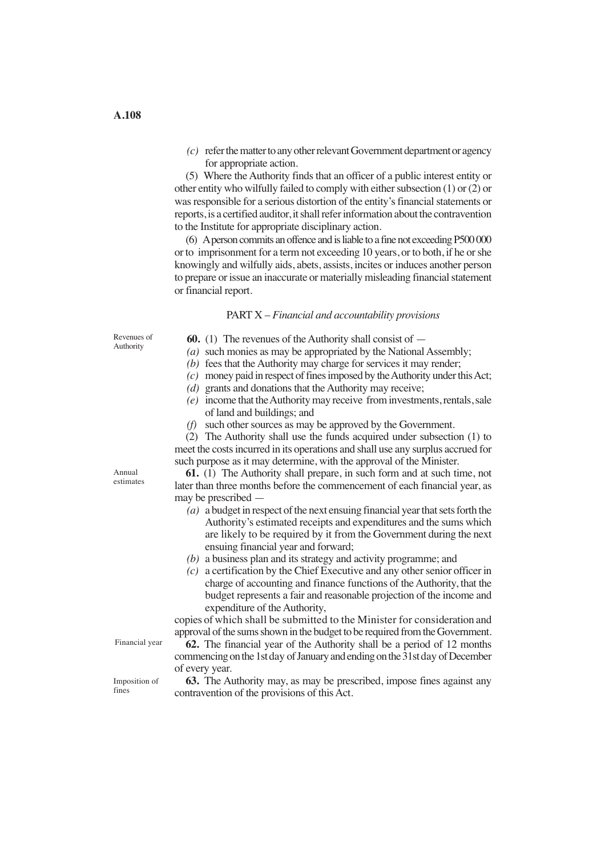*(c)* refer the matter to any other relevant Government department or agency for appropriate action.

(5) Where the Authority finds that an officer of a public interest entity or other entity who wilfully failed to comply with either subsection (1) or (2) or was responsible for a serious distortion of the entity's financial statements or reports, is a certified auditor, it shall refer information about the contravention to the Institute for appropriate disciplinary action.

(6) A person commits an offence and is liable to a fine not exceeding P500 000 or to imprisonment for a term not exceeding 10 years, or to both, if he or she knowingly and wilfully aids, abets, assists, incites or induces another person to prepare or issue an inaccurate or materially misleading financial statement or financial report.

#### PART X – *Financial and accountability provisions*

Revenues of Authority

- **60.** (1) The revenues of the Authority shall consist of —
- *(a)* such monies as may be appropriated by the National Assembly;
- *(b)* fees that the Authority may charge for services it may render;
- *(c)* money paid in respect of fines imposed by the Authority under this Act;
- *(d)* grants and donations that the Authority may receive;
- *(e)* income that the Authority may receive from investments, rentals, sale of land and buildings; and
- *(f)* such other sources as may be approved by the Government.

(2) The Authority shall use the funds acquired under subsection (1) to meet the costs incurred in its operations and shall use any surplus accrued for such purpose as it may determine, with the approval of the Minister.

**61.** (1) The Authority shall prepare, in such form and at such time, not later than three months before the commencement of each financial year, as may be prescribed —

- *(a)* a budget in respect of the next ensuing financial year that sets forth the Authority's estimated receipts and expenditures and the sums which are likely to be required by it from the Government during the next ensuing financial year and forward;
- *(b)* a business plan and its strategy and activity programme; and
- *(c)* a certification by the Chief Executive and any other senior officer in charge of accounting and finance functions of the Authority, that the budget represents a fair and reasonable projection of the income and expenditure of the Authority,

copies of which shall be submitted to the Minister for consideration and approval of the sums shown in the budget to be required from the Government.

**62.** The financial year of the Authority shall be a period of 12 months commencing on the 1st day of January and ending on the 31st day of December of every year.

**63.** The Authority may, as may be prescribed, impose fines against any contravention of the provisions of this Act.

Annual estimates

Financial year

Imposition of fines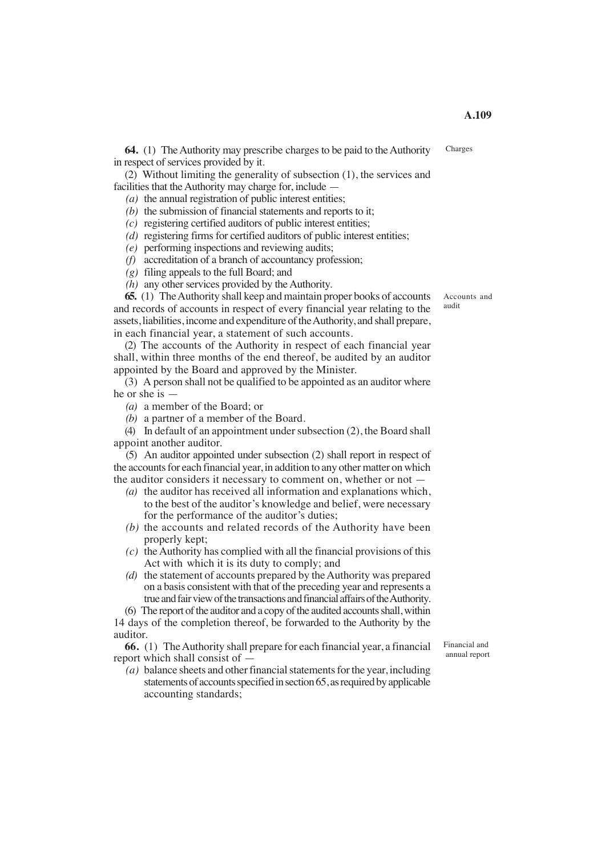**A.109**

**Charges** 

**64.** (1) The Authority may prescribe charges to be paid to the Authority in respect of services provided by it.

(2) Without limiting the generality of subsection (1), the services and facilities that the Authority may charge for, include —

- *(a)* the annual registration of public interest entities;
- *(b)* the submission of financial statements and reports to it;
- *(c)* registering certified auditors of public interest entities;
- *(d)* registering firms for certified auditors of public interest entities;
- *(e)* performing inspections and reviewing audits;
- *(f)* accreditation of a branch of accountancy profession;
- *(g)* filing appeals to the full Board; and
- *(h)* any other services provided by the Authority.

**65.** (1) The Authority shall keep and maintain proper books of accounts and records of accounts in respect of every financial year relating to the assets, liabilities, income and expenditure of the Authority, and shall prepare, in each financial year, a statement of such accounts.

(2) The accounts of the Authority in respect of each financial year shall, within three months of the end thereof, be audited by an auditor appointed by the Board and approved by the Minister.

(3) A person shall not be qualified to be appointed as an auditor where he or she is  $-$ 

- *(a)* a member of the Board; or
- *(b)* a partner of a member of the Board.

(4) In default of an appointment under subsection (2), the Board shall appoint another auditor.

(5) An auditor appointed under subsection (2) shall report in respect of the accounts for each financial year, in addition to any other matter on which the auditor considers it necessary to comment on, whether or not —

- *(a)* the auditor has received all information and explanations which, to the best of the auditor's knowledge and belief, were necessary for the performance of the auditor's duties;
- *(b)* the accounts and related records of the Authority have been properly kept;
- *(c)* the Authority has complied with all the financial provisions of this Act with which it is its duty to comply; and
- *(d)* the statement of accounts prepared by the Authority was prepared on a basis consistent with that of the preceding year and represents a true and fair view of the transactions and financial affairs of the Authority.

(6) The report of the auditor and a copy of the audited accounts shall, within 14 days of the completion thereof, be forwarded to the Authority by the auditor.

**66.** (1) The Authority shall prepare for each financial year, a financial report which shall consist of —

Financial and annual report

*(a)* balance sheets and other financial statements for the year, including statements of accounts specified in section 65, as required by applicable accounting standards;

Accounts and audit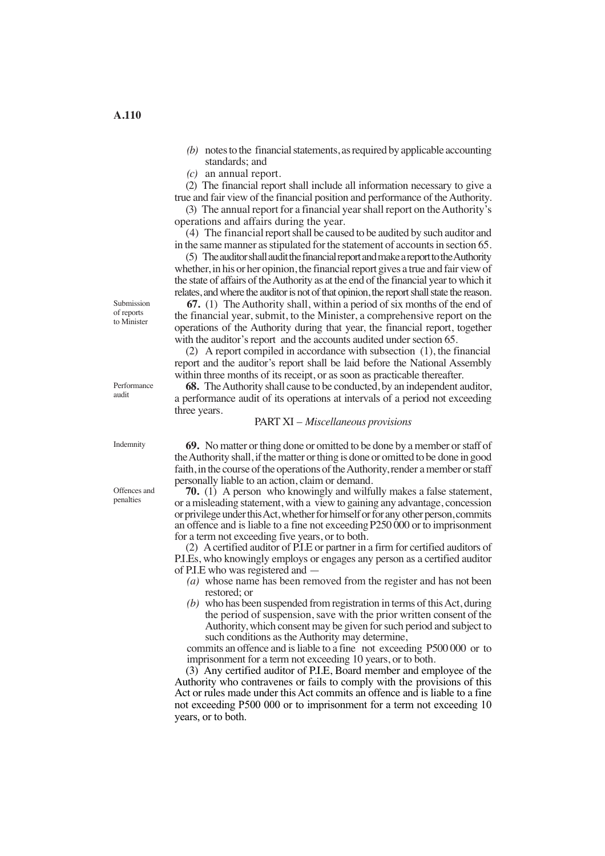- *(b)* notes to the financial statements, as required by applicable accounting standards; and
- *(c)* an annual report.

(2) The financial report shall include all information necessary to give a true and fair view of the financial position and performance of the Authority.

(3) The annual report for a financial year shall report on the Authority's operations and affairs during the year.

(4) The financial report shall be caused to be audited by such auditor and in the same manner as stipulated for the statement of accounts in section 65.

(5) The auditor shall audit the financial report and make a report to the Authority whether, in his or her opinion, the financial report gives a true and fair view of the state of affairs of the Authority as at the end of the financial year to which it relates, and where the auditor is not of that opinion, the report shall state the reason.

**67.** (1) The Authority shall, within a period of six months of the end of the financial year, submit, to the Minister, a comprehensive report on the operations of the Authority during that year, the financial report, together with the auditor's report and the accounts audited under section 65.

(2) A report compiled in accordance with subsection (1), the financial report and the auditor's report shall be laid before the National Assembly within three months of its receipt, or as soon as practicable thereafter.

**68.** The Authority shall cause to be conducted, by an independent auditor, a performance audit of its operations at intervals of a period not exceeding three years.

#### PART XI *– Miscellaneous provisions*

**69.** No matter or thing done or omitted to be done by a member or staff of the Authority shall, if the matter or thing is done or omitted to be done in good faith, in the course of the operations of the Authority, render a member or staff personally liable to an action, claim or demand.

**70.** (1) A person who knowingly and wilfully makes a false statement, or amisleading statement, with a view to gaining any advantage, concession or privilege under this Act, whether for himself or for any other person, commits an offence and is liable to a fine not exceedingP250 000 or to imprisonment for a term not exceeding five years, or to both.

(2) A certified auditor of P.I.E or partner in a firm for certified auditors of P.I.Es, who knowingly employs or engages any person as a certified auditor of P.I.E who was registered and —

- *(a)* whose name has been removed from the register and has not been restored; or
- *(b)* who has been suspended from registration in terms of this Act, during the period of suspension, save with the prior written consent of the Authority, which consent may be given for such period and subject to such conditions as the Authority may determine,

commits an offence and is liable to a fine not exceeding P500 000 or to imprisonment for a term not exceeding 10 years, or to both.

(3) Any certified auditor of P.I.E, Board member and employee of the Authority who contravenes or fails to comply with the provisions of this Act or rules made under this Act commits an offence and is liable to a fine not exceeding P500 000 or to imprisonment for a term not exceeding 10 years, or to both.

Submission of reports to Minister

Performance audit

Indemnity

Offences and penalties